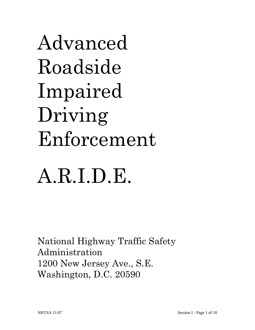Advanced Roadside Impaired Driving Enforcement

# A.R.I.D.E.

National Highway Traffic Safety Administration 1200 New Jersey Ave., S.E. Washington, D.C. 20590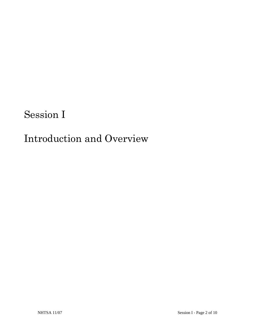# Session I

# Introduction and Overview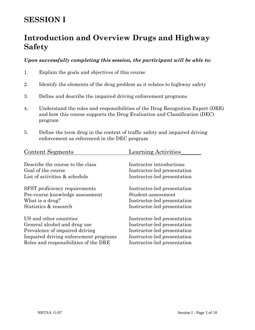# **SESSION I**

# **Introduction and Overview Drugs and Highway Safety**

#### *Upon successfully completing this session, the participant will be able to:*

- 1. Explain the goals and objectives of this course
- 2. Identify the elements of the drug problem as it relates to highway safety
- 3. Define and describe the impaired driving enforcement programs
- 4. Understand the roles and responsibilities of the Drug Recognition Expert (DRE) and how this course supports the Drug Evaluation and Classification (DEC) program
- 5. Define the term drug in the context of traffic safety and impaired driving enforcement as referenced in the DEC program

| <b>Content Segments</b>               | <b>Learning Activities</b>  |
|---------------------------------------|-----------------------------|
| Describe the course to the class      | Instructor introductions    |
| Goal of the course                    | Instructor-led presentation |
| List of activities & schedule         | Instructor-led presentation |
| <b>SFST</b> proficiency requirements  | Instructor-led presentation |
| Pre-course knowledge assessment       | Student-assessment          |
| What is a drug?                       | Instructor-led presentation |
| Statistics & research                 | Instructor-led presentation |
| US and other countries                | Instructor-led presentation |
| General alcohol and drug use          | Instructor-led presentation |
| Prevalence of impaired driving        | Instructor-led presentation |
| Impaired driving enforcement programs | Instructor-led presentation |
| Roles and responsibilities of the DRE | Instructor-led presentation |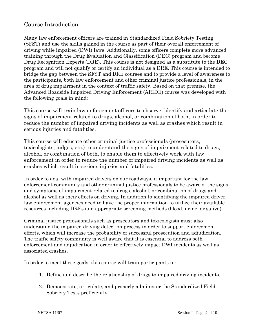#### Course Introduction

Many law enforcement officers are trained in Standardized Field Sobriety Testing (SFST) and use the skills gained in the course as part of their overall enforcement of driving while impaired (DWI) laws. Additionally, some officers complete more advanced training through the Drug Evaluation and Classification (DEC) program and become Drug Recognition Experts (DRE). This course is not designed as a substitute to the DEC program and will not qualify or certify an individual as a DRE. This course is intended to bridge the gap between the SFST and DRE courses and to provide a level of awareness to the participants, both law enforcement and other criminal justice professionals, in the area of drug impairment in the context of traffic safety. Based on that premise, the Advanced Roadside Impaired Driving Enforcement (ARIDE) course was developed with the following goals in mind:

This course will train law enforcement officers to observe, identify and articulate the signs of impairment related to drugs, alcohol, or combination of both, in order to reduce the number of impaired driving incidents as well as crashes which result in serious injuries and fatalities.

This course will educate other criminal justice professionals (prosecutors, toxicologists, judges, etc.) to understand the signs of impairment related to drugs, alcohol, or combination of both, to enable them to effectively work with law enforcement in order to reduce the number of impaired driving incidents as well as crashes which result in serious injuries and fatalities.

In order to deal with impaired drivers on our roadways, it important for the law enforcement community and other criminal justice professionals to be aware of the signs and symptoms of impairment related to drugs, alcohol, or combination of drugs and alcohol as well as their effects on driving. In addition to identifying the impaired driver, law enforcement agencies need to have the proper information to utilize their available resources including DREs and appropriate screening methods (blood, urine, or saliva).

Criminal justice professionals such as prosecutors and toxicologists must also understand the impaired driving detection process in order to support enforcement efforts, which will increase the probability of successful prosecution and adjudication. The traffic safety community is well aware that it is essential to address both enforcement and adjudication in order to effectively impact DWI incidents as well as associated crashes.

In order to meet these goals, this course will train participants to:

- 1. Define and describe the relationship of drugs to impaired driving incidents.
- 2. Demonstrate, articulate, and properly administer the Standardized Field Sobriety Tests proficiently.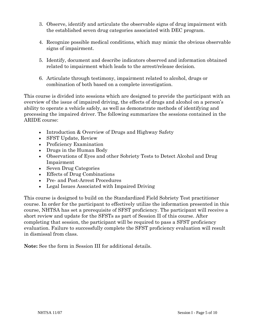- 3. Observe, identify and articulate the observable signs of drug impairment with the established seven drug categories associated with DEC program.
- 4. Recognize possible medical conditions, which may mimic the obvious observable signs of impairment.
- 5. Identify, document and describe indicators observed and information obtained related to impairment which leads to the arrest/release decision.
- 6. Articulate through testimony, impairment related to alcohol, drugs or combination of both based on a complete investigation.

This course is divided into sessions which are designed to provide the participant with an overview of the issue of impaired driving, the effects of drugs and alcohol on a person's ability to operate a vehicle safely, as well as demonstrate methods of identifying and processing the impaired driver. The following summarizes the sessions contained in the ARIDE course:

- Introduction & Overview of Drugs and Highway Safety
- SFST Update, Review
- Proficiency Examination
- Drugs in the Human Body
- Observations of Eyes and other Sobriety Tests to Detect Alcohol and Drug Impairment
- Seven Drug Categories
- Effects of Drug Combinations
- Pre- and Post-Arrest Procedures
- Legal Issues Associated with Impaired Driving

This course is designed to build on the Standardized Field Sobriety Test practitioner course. In order for the participant to effectively utilize the information presented in this course, NHTSA has set a prerequisite of SFST proficiency. The participant will receive a short review and update for the SFSTs as part of Session II of this course. After completing that session, the participant will be required to pass a SFST proficiency evaluation. Failure to successfully complete the SFST proficiency evaluation will result in dismissal from class.

**Note:** See the form in Session III for additional details.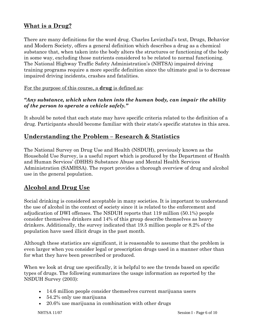#### **What is a Drug?**

There are many definitions for the word drug. Charles Levinthal's text, Drugs, Behavior and Modern Society, offers a general definition which describes a drug as a chemical substance that, when taken into the body alters the structures or functioning of the body in some way, excluding those nutrients considered to be related to normal functioning. The National Highway Traffic Safety Administration's (NHTSA) impaired driving training programs require a more specific definition since the ultimate goal is to decrease impaired driving incidents, crashes and fatalities.

For the purpose of this course, a **drug** is defined as:

#### *"Any substance, which when taken into the human body, can impair the ability of the person to operate a vehicle safely."*

It should be noted that each state may have specific criteria related to the definition of a drug. Participants should become familiar with their state's specific statutes in this area.

#### **Understanding the Problem – Research & Statistics**

The National Survey on Drug Use and Health (NSDUH), previously known as the Household Use Survey, is a useful report which is produced by the Department of Health and Human Services' (DHHS) Substance Abuse and Mental Health Services Administration (SAMHSA). The report provides a thorough overview of drug and alcohol use in the general population.

#### **Alcohol and Drug Use**

Social drinking is considered acceptable in many societies. It is important to understand the use of alcohol in the context of society since it is related to the enforcement and adjudication of DWI offenses. The NSDUH reports that 119 million (50.1%) people consider themselves drinkers and 14% of this group describe themselves as heavy drinkers. Additionally, the survey indicated that 19.5 million people or 8.2% of the population have used illicit drugs in the past month.

Although these statistics are significant, it is reasonable to assume that the problem is even larger when you consider legal or prescription drugs used in a manner other than for what they have been prescribed or produced.

When we look at drug use specifically, it is helpful to see the trends based on specific types of drugs. The following summarizes the usage information as reported by the NSDUH Survey (2003):

- 14.6 million people consider themselves current marijuana users
- 54.2% only use marijuana
- 20.6% use marijuana in combination with other drugs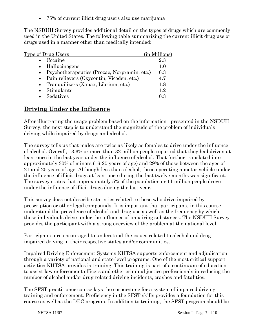• 75% of current illicit drug users also use marijuana

The NSDUH Survey provides additional detail on the types of drugs which are commonly used in the United States. The following table summarizing the current illicit drug use or drugs used in a manner other than medically intended:

| Type of Drug Users                             | (in Millions) |
|------------------------------------------------|---------------|
| Cocaine                                        | 2.3           |
| • Hallucinogens                                | 1.0           |
| • Psychotherapeutics (Prozac, Norpramin, etc.) | 6.3           |
| • Pain relievers (Oxycontin, Vicoden, etc.)    | 4.7           |
| • Tranquilizers (Xanax, Librium, etc.)         | 1.8           |
| Stimulants                                     | 12            |
| Sedatives                                      | Ո Զ           |

#### **Driving Under the Influence**

After illustrating the usage problem based on the information presented in the NSDUH Survey, the next step is to understand the magnitude of the problem of individuals driving while impaired by drugs and alcohol.

The survey tells us that males are twice as likely as females to drive under the influence of alcohol. Overall, 13.6% or more than 32 million people reported that they had driven at least once in the last year under the influence of alcohol. That further translated into approximately 30% of minors (16-20 years of age) and 29% of those between the ages of 21 and 25 years of age. Although less than alcohol, those operating a motor vehicle under the influence of illicit drugs at least once during the last twelve months was significant. The survey states that approximately 5% of the population or 11 million people drove under the influence of illicit drugs during the last year.

This survey does not describe statistics related to those who drive impaired by prescription or other legal compounds. It is important that participants in this course understand the prevalence of alcohol and drug use as well as the frequency by which these individuals drive under the influence of impairing substances. The NSDUH Survey provides the participant with a strong overview of the problem at the national level.

Participants are encouraged to understand the issues related to alcohol and drug impaired driving in their respective states and/or communities.

Impaired Driving Enforcement Systems NHTSA supports enforcement and adjudication through a variety of national and state-level programs. One of the most critical support activities NHTSA provides is training. This training is part of a continuum of education to assist law enforcement officers and other criminal justice professionals in reducing the number of alcohol and/or drug related driving incidents, crashes and fatalities.

The SFST practitioner course lays the cornerstone for a system of impaired driving training and enforcement. Proficiency in the SFST skills provides a foundation for this course as well as the DEC program. In addition to training, the SFST program should be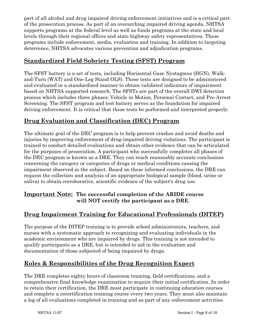part of all alcohol and drug impaired driving enforcement initiatives and is a critical part of the prosecution process. As part of an overarching impaired driving agenda, NHTSA supports programs at the federal level as well as funds programs at the state and local levels through their regional offices and state highway safety representatives. These programs include enforcement, media, evaluation and training. In addition to targeting deterrence, NHTSA advocates various prevention and adjudication programs.

#### **Standardized Field Sobriety Testing (SFST) Program**

The SFST battery is a set of tests, including Horizontal Gaze Nystagmus (HGN), Walkand-Turn (WAT) and One-Leg Stand OLS). These tests are designed to be administered and evaluated in a standardized manner to obtain validated indicators of impairment based on NHTSA supported research. The SFSTs are part of the overall DWI detection process which includes three phases: Vehicle in Motion, Personal Contact, and Pre-Arrest Screening. The SFST program and test battery serves as the foundation for impaired driving enforcement. It is critical that these tests be performed and interpreted properly.

#### **Drug Evaluation and Classification (DEC) Program**

The ultimate goal of the DEC program is to help prevent crashes and avoid deaths and injuries by improving enforcement of drug-impaired driving violations. The participant is trained to conduct detailed evaluations and obtain other evidence that can be articulated for the purposes of prosecution. A participant who successfully completes all phases of the DEC program is known as a DRE. They can reach reasonably accurate conclusions concerning the category or categories of drugs or medical conditions causing the impairment observed in the subject. Based on these informed conclusions, the DRE can request the collection and analysis of an appropriate biological sample (blood, urine or saliva) to obtain corroborative, scientific evidence of the subject's drug use.

#### **Important Note: The successful completion of the ARIDE course will NOT certify the participant as a DRE**.

#### **Drug Impairment Training for Educational Professionals (DITEP)**

The purpose of the DITEP training is to provide school administrators, teachers, and nurses with a systematic approach to recognizing and evaluating individuals in the academic environment who are impaired by drugs. This training is not intended to qualify participants as a DRE, but is intended to aid in the evaluation and documentation of those subjected of being impaired by drugs.

#### **Roles & Responsibilities of the Drug Recognition Expert**

The DRE completes eighty hours of classroom training, field certifications, and a comprehensive final knowledge examination to acquire their initial certification. In order to retain their certification, the DRE must participate in continuing education courses and complete a recertification training course every two years. They must also maintain a log of all evaluations completed in training and as part of any enforcement activities.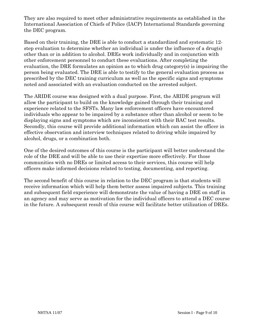They are also required to meet other administrative requirements as established in the International Association of Chiefs of Police (IACP) International Standards governing the DEC program.

Based on their training, the DRE is able to conduct a standardized and systematic 12 step evaluation to determine whether an individual is under the influence of a drug(s) other than or in addition to alcohol. DREs work individually and in conjunction with other enforcement personnel to conduct these evaluations. After completing the evaluation, the DRE formulates an opinion as to which drug category(s) is impairing the person being evaluated. The DRE is able to testify to the general evaluation process as prescribed by the DEC training curriculum as well as the specific signs and symptoms noted and associated with an evaluation conducted on the arrested subject.

The ARIDE course was designed with a dual purpose. First, the ARIDE program will allow the participant to build on the knowledge gained through their training and experience related to the SFSTs. Many law enforcement officers have encountered individuals who appear to be impaired by a substance other than alcohol or seem to be displaying signs and symptoms which are inconsistent with their BAC test results. Secondly, this course will provide additional information which can assist the officer in effective observation and interview techniques related to driving while impaired by alcohol, drugs, or a combination both.

One of the desired outcomes of this course is the participant will better understand the role of the DRE and will be able to use their expertise more effectively. For those communities with no DREs or limited access to their services, this course will help officers make informed decisions related to testing, documenting, and reporting.

The second benefit of this course in relation to the DEC program is that students will receive information which will help them better assess impaired subjects. This training and subsequent field experience will demonstrate the value of having a DRE on staff in an agency and may serve as motivation for the individual officers to attend a DEC course in the future. A subsequent result of this course will facilitate better utilization of DREs.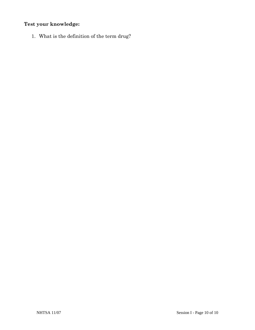### **Test your knowledge:**

1. What is the definition of the term drug?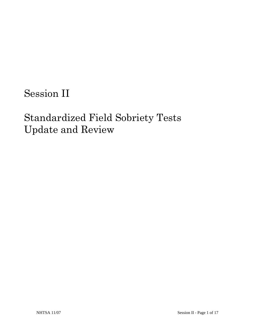Session II

# Standardized Field Sobriety Tests Update and Review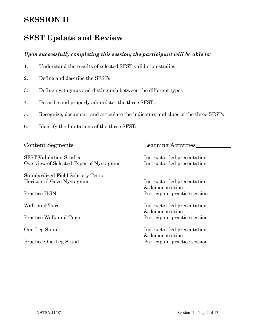### **SESSION II**

### **SFST Update and Review**

#### *Upon successfully completing this session, the participant will be able to:*

- 1. Understand the results of selected SFST validation studies
- 2. Define and describe the SFSTs
- 3. Define nystagmus and distinguish between the different types
- 4. Describe and properly administer the three SFSTs
- 5. Recognize, document, and articulate the indicators and clues of the three SFSTs
- 6. Identify the limitations of the three SFSTs

| <b>Content Segments</b>                  | <b>Learning Activities</b>   |
|------------------------------------------|------------------------------|
|                                          |                              |
| <b>SFST Validation Studies</b>           | Instructor-led presentation  |
| Overview of Selected Types of Nystagmus  | Instructor-led presentation  |
| <b>Standardized Field Sobriety Tests</b> |                              |
| Horizontal Gaze Nystagmus                | Instructor-led presentation  |
|                                          | & demonstration              |
| Practice HGN                             | Participant practice session |
|                                          |                              |
| Walk-and-Turn                            | Instructor-led presentation  |
|                                          | & demonstration              |
|                                          |                              |
| Practice Walk-and-Turn                   | Participant practice session |
| One-Leg Stand                            | Instructor-led presentation  |
|                                          | & demonstration              |
| Practice One-Leg Stand                   | Participant practice session |
|                                          |                              |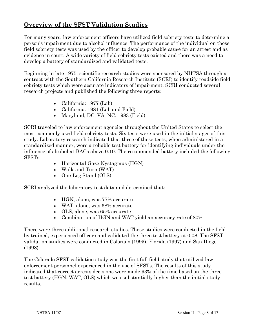#### **Overview of the SFST Validation Studies**

For many years, law enforcement officers have utilized field sobriety tests to determine a person's impairment due to alcohol influence. The performance of the individual on those field sobriety tests was used by the officer to develop probable cause for an arrest and as evidence in court. A wide variety of field sobriety tests existed and there was a need to develop a battery of standardized and validated tests.

Beginning in late 1975, scientific research studies were sponsored by NHTSA through a contract with the Southern California Research Institute (SCRI) to identify roadside field sobriety tests which were accurate indicators of impairment. SCRI conducted several research projects and published the following three reports:

- California: 1977 (Lab)
- California: 1981 (Lab and Field)
- Maryland, DC, VA, NC: 1983 (Field)

SCRI traveled to law enforcement agencies throughout the United States to select the most commonly used field sobriety tests. Six tests were used in the initial stages of this study. Laboratory research indicated that three of these tests, when administered in a standardized manner, were a reliable test battery for identifying individuals under the influence of alcohol at BACs above 0.10. The recommended battery included the following SFSTs:

- Horizontal Gaze Nystagmus (HGN)
- Walk-and-Turn (WAT)
- One-Leg Stand (OLS)

SCRI analyzed the laboratory test data and determined that:

- HGN, alone, was 77% accurate
- WAT, alone, was 68% accurate
- OLS, alone, was 65% accurate
- Combination of HGN and WAT yield an accuracy rate of 80%

There were three additional research studies. These studies were conducted in the field by trained, experienced officers and validated the three test battery at 0.08. The SFST validation studies were conducted in Colorado (1995), Florida (1997) and San Diego (1998).

The Colorado SFST validation study was the first full field study that utilized law enforcement personnel experienced in the use of SFSTs. The results of this study indicated that correct arrests decisions were made 93% of the time based on the three test battery (HGN, WAT, OLS) which was substantially higher than the initial study results.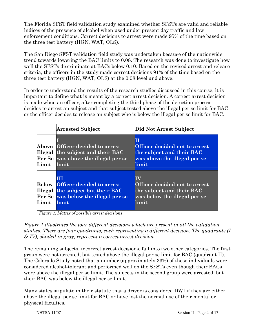The Florida SFST field validation study examined whether SFSTs are valid and reliable indices of the presence of alcohol when used under present day traffic and law enforcement conditions. Correct decisions to arrest were made 95% of the time based on the three test battery (HGN, WAT, OLS).

The San Diego SFST validation field study was undertaken because of the nationwide trend towards lowering the BAC limits to 0.08. The research was done to investigate how well the SFSTs discriminate at BACs below 0.10. Based on the revised arrest and release criteria, the officers in the study made correct decisions 91% of the time based on the three test battery (HGN, WAT, OLS) at the 0.08 level and above.

In order to understand the results of the research studies discussed in this course, it is important to define what is meant by a correct arrest decision. A correct arrest decision is made when an officer, after completing the third phase of the detection process, decides to arrest an subject and that subject tested above the illegal per se limit for BAC or the officer decides to release an subject who is below the illegal per se limit for BAC.

|                | Arrested Subject                                                                                                           | Did Not Arrest Subject                                                                                    |
|----------------|----------------------------------------------------------------------------------------------------------------------------|-----------------------------------------------------------------------------------------------------------|
| Above<br>Limit | <b>Officer decided to arrest</b><br>Illegal the subject and their BAC<br>Per Se was above the illegal per se<br>limit      | Officer decided not to arrest<br>the subject and their BAC<br>was above the illegal per se<br>limit       |
| Below<br>Limit | Ш<br><b>Officer decided to arrest</b><br>Illegal the subject but their BAC<br>Per Se was below the illegal per se<br>limit | TV<br>Officer decided not to arrest<br>the subject and their BAC<br>was below the illegal per se<br>limit |

*Figure 1: Matrix of possible arrest decisions* 

*Figure 1 illustrates the four different decisions which are present in all the validation studies. There are four quadrants, each representing a different decision. The quadrants (I & IV), shaded in gray, represent a correct arrest decision.* 

The remaining subjects, incorrect arrest decisions, fall into two other categories. The first group were not arrested, but tested above the illegal per se limit for BAC (quadrant II). The Colorado Study noted that a number (approximately 33%) of these individuals were considered alcohol-tolerant and performed well on the SFSTs even though their BACs were above the illegal per se limit. The subjects in the second group were arrested, but their BAC was below the illegal per se limit.

Many states stipulate in their statute that a driver is considered DWI if they are either above the illegal per se limit for BAC or have lost the normal use of their mental or physical faculties.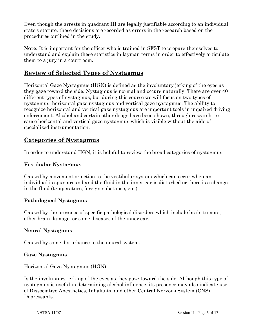Even though the arrests in quadrant III are legally justifiable according to an individual state's statute, these decisions are recorded as errors in the research based on the procedures outlined in the study.

**Note:** It is important for the officer who is trained in SFST to prepare themselves to understand and explain these statistics in layman terms in order to effectively articulate them to a jury in a courtroom.

#### **Review of Selected Types of Nystagmus**

Horizontal Gaze Nystagmus (HGN) is defined as the involuntary jerking of the eyes as they gaze toward the side. Nystagmus is normal and occurs naturally. There are over 40 different types of nystagmus, but during this course we will focus on two types of nystagmus: horizontal gaze nystagmus and vertical gaze nystagmus. The ability to recognize horizontal and vertical gaze nystagmus are important tools in impaired driving enforcement. Alcohol and certain other drugs have been shown, through research, to cause horizontal and vertical gaze nystagmus which is visible without the aide of specialized instrumentation.

#### **Categories of Nystagmus**

In order to understand HGN, it is helpful to review the broad categories of nystagmus.

#### **Vestibular Nystagmus**

Caused by movement or action to the vestibular system which can occur when an individual is spun around and the fluid in the inner ear is disturbed or there is a change in the fluid (temperature, foreign substance, etc.)

#### **Pathological Nystagmus**

Caused by the presence of specific pathological disorders which include brain tumors, other brain damage, or some diseases of the inner ear.

#### **Neural Nystagmus**

Caused by some disturbance to the neural system.

#### **Gaze Nystagmus**

#### Horizontal Gaze Nystagmus (HGN)

Is the involuntary jerking of the eyes as they gaze toward the side. Although this type of nystagmus is useful in determining alcohol influence, its presence may also indicate use of Dissociative Anesthetics, Inhalants, and other Central Nervous System (CNS) Depressants.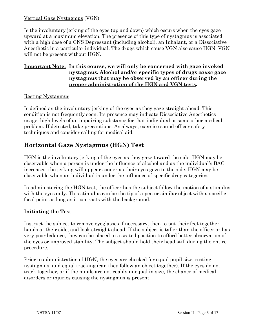#### Vertical Gaze Nystagmus (VGN)

Is the involuntary jerking of the eyes (up and down) which occurs when the eyes gaze upward at a maximum elevation. The presence of this type of nystagmus is associated with a high dose of a CNS Depressant (including alcohol), an Inhalant, or a Dissociative Anesthetic in a particular individual. The drugs which cause VGN also cause HGN. VGN will not be present without HGN.

#### **Important Note: In this course, we will only be concerned with gaze invoked nystagmus. Alcohol and/or specific types of drugs** *cause* **gaze nystagmus that may be observed by an officer during the proper administration of the HGN and VGN tests.**

#### Resting Nystagmus

Is defined as the involuntary jerking of the eyes as they gaze straight ahead. This condition is not frequently seen. Its presence may indicate Dissociative Anesthetics usage, high levels of an impairing substance for that individual or some other medical problem. If detected, take precautions. As always, exercise sound officer safety techniques and consider calling for medical aid.

#### **Horizontal Gaze Nystagmus (HGN) Test**

HGN is the involuntary jerking of the eyes as they gaze toward the side. HGN may be observable when a person is under the influence of alcohol and as the individual's BAC increases, the jerking will appear sooner as their eyes gaze to the side. HGN may be observable when an individual is under the influence of specific drug categories.

In administering the HGN test, the officer has the subject follow the motion of a stimulus with the eyes only. This stimulus can be the tip of a pen or similar object with a specific focal point as long as it contrasts with the background.

#### **Initiating the Test**

Instruct the subject to remove eyeglasses if necessary, then to put their feet together, hands at their side, and look straight ahead. If the subject is taller than the officer or has very poor balance, they can be placed in a seated position to afford better observation of the eyes or improved stability. The subject should hold their head still during the entire procedure.

Prior to administration of HGN, the eyes are checked for equal pupil size, resting nystagmus, and equal tracking (can they follow an object together). If the eyes do not track together, or if the pupils are noticeably unequal in size, the chance of medical disorders or injuries causing the nystagmus is present.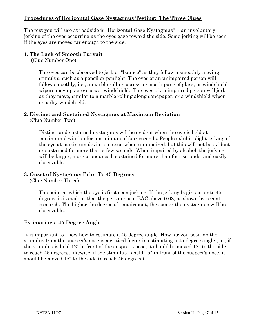#### **Procedures of Horizontal Gaze Nystagmus Testing: The Three Clues**

The test you will use at roadside is "Horizontal Gaze Nystagmus" -- an involuntary jerking of the eyes occurring as the eyes gaze toward the side. Some jerking will be seen if the eyes are moved far enough to the side.

#### **1. The Lack of Smooth Pursuit**

(Clue Number One)

The eyes can be observed to jerk or "bounce" as they follow a smoothly moving stimulus, such as a pencil or penlight. The eyes of an unimpaired person will follow smoothly, i.e., a marble rolling across a smooth pane of glass, or windshield wipers moving across a wet windshield. The eyes of an impaired person will jerk as they move, similar to a marble rolling along sandpaper, or a windshield wiper on a dry windshield.

#### **2. Distinct and Sustained Nystagmus at Maximum Deviation**

(Clue Number Two)

Distinct and sustained nystagmus will be evident when the eye is held at maximum deviation for a minimum of four seconds. People exhibit slight jerking of the eye at maximum deviation, even when unimpaired, but this will not be evident or sustained for more than a few seconds. When impaired by alcohol, the jerking will be larger, more pronounced, sustained for more than four seconds, and easily observable.

#### **3. Onset of Nystagmus Prior To 45 Degrees**

(Clue Number Three)

The point at which the eye is first seen jerking. If the jerking begins prior to 45 degrees it is evident that the person has a BAC above 0.08, as shown by recent research. The higher the degree of impairment, the sooner the nystagmus will be observable.

#### **Estimating a 45-Degree Angle**

It is important to know how to estimate a 45-degree angle. How far you position the stimulus from the suspect's nose is a critical factor in estimating a 45-degree angle (i.e., if the stimulus is held 12" in front of the suspect's nose, it should be moved 12" to the side to reach 45 degrees; likewise, if the stimulus is held 15" in front of the suspect's nose, it should be moved 15" to the side to reach 45 degrees).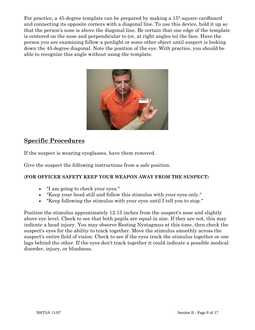For practice, a 45-degree template can be prepared by making a 15"-square cardboard and connecting its opposite corners with a diagonal line. To use this device, hold it up so that the person's nose is above the diagonal line. Be certain that one edge of the template is centered on the nose and perpendicular to (or, at right angles to) the face. Have the person you are examining follow a penlight or some other object until suspect is looking down the 45-degree diagonal. Note the position of the eye. With practice, you should be able to recognize this angle without using the template.



#### **Specific Procedures**

If the suspect is wearing eyeglasses, have them removed.

Give the suspect the following instructions from a safe position.

#### (**FOR OFFICER SAFETY KEEP YOUR WEAPON AWAY FROM THE SUSPECT**)

- "I am going to check your eyes."
- "Keep your head still and follow this stimulus with your eyes only."
- "Keep following the stimulus with your eyes until I tell you to stop."

Position the stimulus approximately 12-15 inches from the suspect's nose and slightly above eye level. Check to see that both pupils are equal in size. If they are not, this may indicate a head injury. You may observe Resting Nystagmus at this time, then check the suspect's eyes for the ability to track together. Move the stimulus smoothly across the suspect's entire field of vision. Check to see if the eyes track the stimulus together or one lags behind the other. If the eyes don't track together it could indicate a possible medical disorder, injury, or blindness.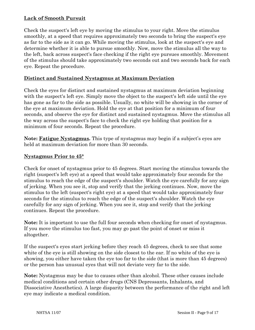#### **Lack of Smooth Pursuit**

Check the suspect's left eye by moving the stimulus to your right. Move the stimulus smoothly, at a speed that requires approximately two seconds to bring the suspect's eye as far to the side as it can go. While moving the stimulus, look at the suspect's eye and determine whether it is able to pursue smoothly. Now, move the stimulus all the way to the left, back across suspect's face checking if the right eye pursues smoothly. Movement of the stimulus should take approximately two seconds out and two seconds back for each eye. Repeat the procedure.

#### **Distinct and Sustained Nystagmus at Maximum Deviation**

Check the eyes for distinct and sustained nystagmus at maximum deviation beginning with the suspect's left eye. Simply move the object to the suspect's left side until the eye has gone as far to the side as possible. Usually, no white will be showing in the corner of the eye at maximum deviation. Hold the eye at that position for a minimum of four seconds, and observe the eye for distinct and sustained nystagmus. Move the stimulus all the way across the suspect's face to check the right eye holding that position for a minimum of four seconds. Repeat the procedure.

**Note: Fatigue Nystagmus.** This type of nystagmus may begin if a subject's eyes are held at maximum deviation for more than 30 seconds.

#### **Nystagmus Prior to 45°**

Check for onset of nystagmus prior to 45 degrees. Start moving the stimulus towards the right (suspect's left eye) at a speed that would take approximately four seconds for the stimulus to reach the edge of the suspect's shoulder. Watch the eye carefully for any sign of jerking. When you see it, stop and verify that the jerking continues. Now, move the stimulus to the left (suspect's right eye) at a speed that would take approximately four seconds for the stimulus to reach the edge of the suspect's shoulder. Watch the eye carefully for any sign of jerking. When you see it, stop and verify that the jerking continues. Repeat the procedure.

**Note:** It is important to use the full four seconds when checking for onset of nystagmus. If you move the stimulus too fast, you may go past the point of onset or miss it altogether.

If the suspect's eyes start jerking before they reach 45 degrees, check to see that some white of the eye is still showing on the side closest to the ear. If no white of the eye is showing, you either have taken the eye too far to the side (that is more than 45 degrees) or the person has unusual eyes that will not deviate very far to the side.

**Note:** Nystagmus may be due to causes other than alcohol. These other causes include medical conditions and certain other drugs (CNS Depressants, Inhalants, and Dissociative Anesthetics). A large disparity between the performance of the right and left eye may indicate a medical condition.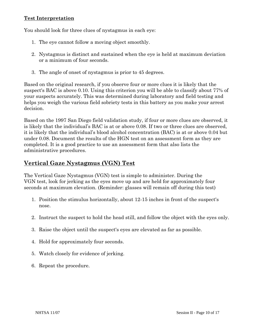#### **Test Interpretation**

You should look for three clues of nystagmus in each eye:

- 1. The eye cannot follow a moving object smoothly.
- 2. Nystagmus is distinct and sustained when the eye is held at maximum deviation or a minimum of four seconds.
- 3. The angle of onset of nystagmus is prior to 45 degrees.

Based on the original research, if you observe four or more clues it is likely that the suspect's BAC is above 0.10. Using this criterion you will be able to classify about 77% of your suspects accurately. This was determined during laboratory and field testing and helps you weigh the various field sobriety tests in this battery as you make your arrest decision.

Based on the 1997 San Diego field validation study, if four or more clues are observed, it is likely that the individual's BAC is at or above 0.08. If two or three clues are observed, it is likely that the individual's blood alcohol concentration (BAC) is at or above 0.04 but under 0.08. Document the results of the HGN test on an assessment form as they are completed. It is a good practice to use an assessment form that also lists the administrative procedures.

#### **Vertical Gaze Nystagmus (VGN) Test**

The Vertical Gaze Nystagmus (VGN) test is simple to administer. During the VGN test, look for jerking as the eyes move up and are held for approximately four seconds at maximum elevation. (Reminder: glasses will remain off during this test)

- 1. Position the stimulus horizontally, about 12-15 inches in front of the suspect's nose.
- 2. Instruct the suspect to hold the head still, and follow the object with the eyes only.
- 3. Raise the object until the suspect's eyes are elevated as far as possible.
- 4. Hold for approximately four seconds.
- 5. Watch closely for evidence of jerking.
- 6. Repeat the procedure.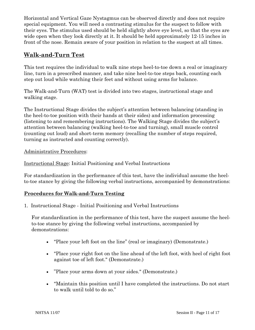Horizontal and Vertical Gaze Nystagmus can be observed directly and does not require special equipment. You will need a contrasting stimulus for the suspect to follow with their eyes. The stimulus used should be held slightly above eye level, so that the eyes are wide open when they look directly at it. It should be held approximately 12-15 inches in front of the nose. Remain aware of your position in relation to the suspect at all times.

#### **Walk-and-Turn Test**

This test requires the individual to walk nine steps heel-to-toe down a real or imaginary line, turn in a prescribed manner, and take nine heel-to-toe steps back, counting each step out loud while watching their feet and without using arms for balance.

The Walk-and-Turn (WAT) test is divided into two stages, instructional stage and walking stage.

The Instructional Stage divides the subject's attention between balancing (standing in the heel-to-toe position with their hands at their sides) and information processing (listening to and remembering instructions). The Walking Stage divides the subject's attention between balancing (walking heel-to-toe and turning), small muscle control (counting out loud) and short-term memory (recalling the number of steps required, turning as instructed and counting correctly).

Administrative Procedures:

Instructional Stage: Initial Positioning and Verbal Instructions

For standardization in the performance of this test, have the individual assume the heelto-toe stance by giving the following verbal instructions, accompanied by demonstrations:

#### **Procedures for Walk-and-Turn Testing**

1. Instructional Stage - Initial Positioning and Verbal Instructions

For standardization in the performance of this test, have the suspect assume the heelto-toe stance by giving the following verbal instructions, accompanied by demonstrations:

- "Place your left foot on the line" (real or imaginary) (Demonstrate.)
- "Place your right foot on the line ahead of the left foot, with heel of right foot against toe of left foot." (Demonstrate.)
- "Place your arms down at your sides." (Demonstrate.)
- "Maintain this position until I have completed the instructions. Do not start to walk until told to do so."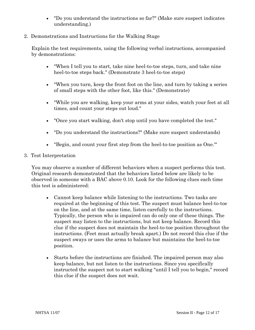• "Do you understand the instructions so far?" (Make sure suspect indicates understanding.)

#### 2. Demonstrations and Instructions for the Walking Stage

Explain the test requirements, using the following verbal instructions, accompanied by demonstrations:

- "When I tell you to start, take nine heel-to-toe steps, turn, and take nine heel-to-toe steps back." (Demonstrate 3 heel-to-toe steps)
- "When you turn, keep the front foot on the line, and turn by taking a series of small steps with the other foot, like this." (Demonstrate)
- "While you are walking, keep your arms at your sides, watch your feet at all times, and count your steps out loud."
- "Once you start walking, don't stop until you have completed the test."
- "Do you understand the instructions?" (Make sure suspect understands)
- "Begin, and count your first step from the heel-to-toe position as One.'"
- 3. Test Interpretation

You may observe a number of different behaviors when a suspect performs this test. Original research demonstrated that the behaviors listed below are likely to be observed in someone with a BAC above 0.10. Look for the following clues each time this test is administered:

- Cannot keep balance while listening to the instructions. Two tasks are required at the beginning of this test. The suspect must balance heel-to-toe on the line, and at the same time, listen carefully to the instructions. Typically, the person who is impaired can do only one of these things. The suspect may listen to the instructions, but not keep balance. Record this clue if the suspect does not maintain the heel-to-toe position throughout the instructions. (Feet must actually break apart.) Do not record this clue if the suspect sways or uses the arms to balance but maintains the heel-to-toe position.
- Starts before the instructions are finished. The impaired person may also keep balance, but not listen to the instructions. Since you specifically instructed the suspect not to start walking "until I tell you to begin," record this clue if the suspect does not wait.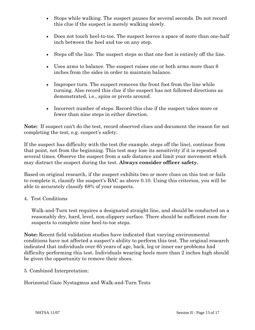- Stops while walking. The suspect pauses for several seconds. Do not record this clue if the suspect is merely walking slowly.
- Does not touch heel-to-toe. The suspect leaves a space of more than one-half inch between the heel and toe on any step.
- Steps off the line. The suspect steps so that one foot is entirely off the line.
- Uses arms to balance. The suspect raises one or both arms more than 6 inches from the sides in order to maintain balance.
- Improper turn. The suspect removes the front foot from the line while turning. Also record this clue if the suspect has not followed directions as demonstrated, i.e., spins or pivots around.
- Incorrect number of steps. Record this clue if the suspect takes more or fewer than nine steps in either direction.

**Note:** If suspect can't do the test, record observed clues and document the reason for not completing the test, e.g. suspect's safety.

If the suspect has difficulty with the test (for example, steps off the line), continue from that point, not from the beginning. This test may lose its sensitivity if it is repeated several times. Observe the suspect from a safe distance and limit your movement which may distract the suspect during the test. **Always consider officer safety.** 

Based on original research, if the suspect exhibits two or more clues on this test or fails to complete it, classify the suspect's BAC as above 0.10. Using this criterion, you will be able to accurately classify 68% of your suspects.

#### 4. Test Conditions

Walk-and-Turn test requires a designated straight line, and should be conducted on a reasonably dry, hard, level, non-slippery surface. There should be sufficient room for suspects to complete nine heel-to-toe steps.

**Note:** Recent field validation studies have indicated that varying environmental conditions have not affected a suspect's ability to perform this test. The original research indicated that individuals over 65 years of age, back, leg or inner ear problems had difficulty performing this test. Individuals wearing heels more than 2 inches high should be given the opportunity to remove their shoes.

5. Combined Interpretation:

Horizontal Gaze Nystagmus and Walk-and-Turn Tests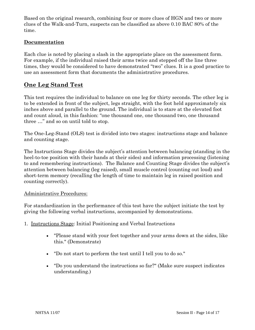Based on the original research, combining four or more clues of HGN and two or more clues of the Walk-and-Turn, suspects can be classified as above 0.10 BAC 80% of the time.

#### **Documentation**

Each clue is noted by placing a slash in the appropriate place on the assessment form. For example, if the individual raised their arms twice and stepped off the line three times, they would be considered to have demonstrated "two" clues. It is a good practice to use an assessment form that documents the administrative procedures.

#### **One Leg Stand Test**

This test requires the individual to balance on one leg for thirty seconds. The other leg is to be extended in front of the subject, legs straight, with the foot held approximately six inches above and parallel to the ground. The individual is to stare at the elevated foot and count aloud, in this fashion: "one thousand one, one thousand two, one thousand three …" and so on until told to stop.

The One-Leg-Stand (OLS) test is divided into two stages: instructions stage and balance and counting stage.

The Instructions Stage divides the subject's attention between balancing (standing in the heel-to-toe position with their hands at their sides) and information processing (listening to and remembering instructions). The Balance and Counting Stage divides the subject's attention between balancing (leg raised), small muscle control (counting out loud) and short-term memory (recalling the length of time to maintain leg in raised position and counting correctly).

#### Administrative Procedures:

For standardization in the performance of this test have the subject initiate the test by giving the following verbal instructions, accompanied by demonstrations.

- 1. Instructions Stage: Initial Positioning and Verbal Instructions
	- "Please stand with your feet together and your arms down at the sides, like this." (Demonstrate)
	- "Do not start to perform the test until I tell you to do so."
	- "Do you understand the instructions so far?" (Make sure suspect indicates understanding.)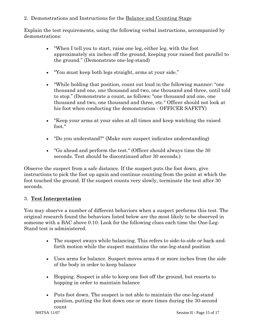2. Demonstrations and Instructions for the Balance and Counting Stage

Explain the test requirements, using the following verbal instructions, accompanied by demonstrations:

- "When I tell you to start, raise one leg, either leg, with the foot approximately six inches off the ground, keeping your raised foot parallel to the ground." (Demonstrate one-leg-stand)
- "You must keep both legs straight, arms at your side."
- "While holding that position, count out loud in the following manner: "one thousand and one, one thousand and two, one thousand and three, until told to stop." (Demonstrate a count, as follows: "one thousand and one, one thousand and two, one thousand and three, etc." Officer should not look at his foot when conducting the demonstration - OFFICER SAFETY)
- "Keep your arms at your sides at all times and keep watching the raised foot."
- "Do you understand?" (Make sure suspect indicates understanding)
- "Go ahead and perform the test." (Officer should always time the 30 seconds. Test should be discontinued after 30 seconds.)

Observe the suspect from a safe distance. If the suspect puts the foot down, give instructions to pick the foot up again and continue counting from the point at which the foot touched the ground. If the suspect counts very slowly, terminate the test after 30 seconds.

#### 3. **Test Interpretation**

You may observe a number of different behaviors when a suspect performs this test. The original research found the behaviors listed below are the most likely to be observed in someone with a BAC above 0.10. Look for the following clues each time the One-Leg-Stand test is administered.

- The suspect sways while balancing. This refers to side-to-side or back-andforth motion while the suspect maintains the one-leg-stand position
- Uses arms for balance. Suspect moves arms 6 or more inches from the side of the body in order to keep balance
- Hopping. Suspect is able to keep one foot off the ground, but resorts to hopping in order to maintain balance
- Puts foot down. The suspect is not able to maintain the one-leg-stand position, putting the foot down one or more times during the 30-second count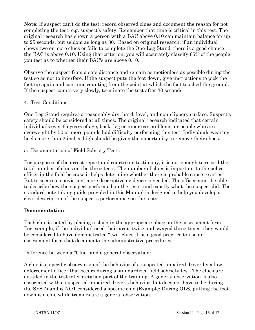**Note:** If suspect can't do the test, record observed clues and document the reason for not completing the test, e.g. suspect's safety. Remember that time is critical in this test. The original research has shown a person with a BAC above 0.10 can maintain balance for up to 25 seconds, but seldom as long as 30. Based on original research, if an individual shows two or more clues or fails to complete the One-Leg-Stand, there is a good chance the BAC is above 0.10. Using that criterion, you will accurately classify 65% of the people you test as to whether their BAC's are above 0.10.

Observe the suspect from a safe distance and remain as motionless as possible during the test so as not to interfere. If the suspect puts the foot down, give instructions to pick the foot up again and continue counting from the point at which the foot touched the ground. If the suspect counts very slowly, terminate the test after 30 seconds.

#### 4. Test Conditions

One-Leg-Stand requires a reasonably dry, hard, level, and non-slippery surface. Suspect's safety should be considered at all times. The original research indicated that certain individuals over 65 years of age, back, leg or inner ear problems, or people who are overweight by 50 or more pounds had difficulty performing this test. Individuals wearing heels more than 2 inches high should be given the opportunity to remove their shoes.

5. Documentation of Field Sobriety Tests

For purposes of the arrest report and courtroom testimony, it is not enough to record the total number of clues on the three tests. The number of clues is important to the police officer in the field because it helps determine whether there is probable cause to arrest. But to secure a conviction, more descriptive evidence is needed. The officer must be able to describe how the suspect performed on the tests, and exactly what the suspect did. The standard note taking guide provided in this Manual is designed to help you develop a clear description of the suspect's performance on the tests.

#### **Documentation**

Each clue is noted by placing a slash in the appropriate place on the assessment form. For example, if the individual used their arms twice and swayed three times, they would be considered to have demonstrated "two" clues. It is a good practice to use an assessment form that documents the administrative procedures.

#### Difference between a "Clue" and a general observation:

A clue is a specific observation of the behavior of a suspected impaired driver by a law enforcement officer that occurs during a standardized field sobriety test. The clues are detailed in the test interpretation part of the training. A general observation is also associated with a suspected impaired driver's behavior, but does not have to be during the SFSTs and is NOT considered a specific clue (Example: During OLS, putting the foot down is a clue while tremors are a general observation.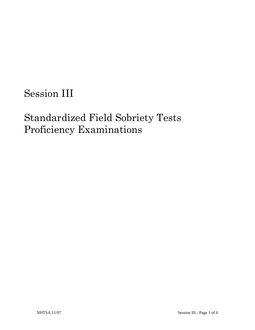# Session III

# Standardized Field Sobriety Tests Proficiency Examinations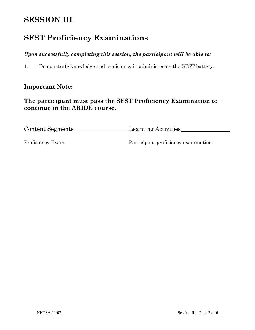# **SESSION III**

## **SFST Proficiency Examinations**

#### *Upon successfully completing this session, the participant will be able to:*

1. Demonstrate knowledge and proficiency in administering the SFST battery.

#### **Important Note:**

#### **The participant must pass the SFST Proficiency Examination to continue in the ARIDE course.**

Content Segments Learning Activities

Proficiency Exam Participant proficiency examination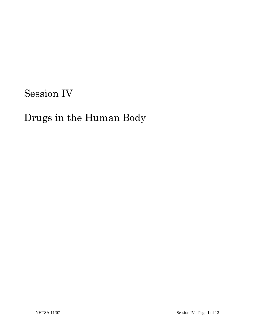# Session IV

# Drugs in the Human Body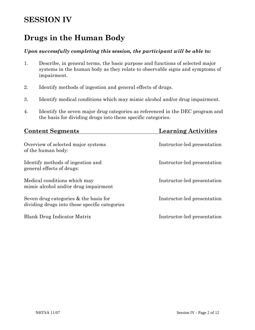### **SESSION IV**

### **Drugs in the Human Body**

#### *Upon successfully completing this session, the participant will be able to:*

- 1. Describe, in general terms, the basic purpose and functions of selected major systems in the human body as they relate to observable signs and symptoms of impairment.
- 2. Identify methods of ingestion and general effects of drugs.
- 3. Identify medical conditions which may mimic alcohol and/or drug impairment.
- 4. Identify the seven major drug categories as referenced in the DEC program and the basis for dividing drugs into these specific categories.

| <b>Content Segments</b>                                                                  | <b>Learning Activities</b>  |
|------------------------------------------------------------------------------------------|-----------------------------|
| Overview of selected major systems<br>of the human body:                                 | Instructor-led presentation |
| Identify methods of ingestion and<br>general effects of drugs:                           | Instructor-led presentation |
| Medical conditions which may<br>mimic alcohol and/or drug impairment                     | Instructor-led presentation |
| Seven drug categories $&$ the basis for<br>dividing drugs into these specific categories | Instructor-led presentation |
| Blank Drug Indicator Matrix                                                              | Instructor-led presentation |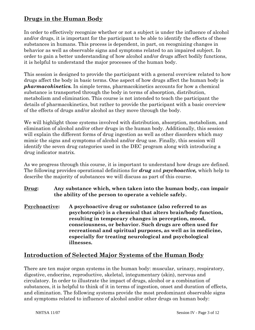#### **Drugs in the Human Body**

In order to effectively recognize whether or not a subject is under the influence of alcohol and/or drugs, it is important for the participant to be able to identify the effects of these substances in humans. This process is dependent, in part, on recognizing changes in behavior as well as observable signs and symptoms related to an impaired subject. In order to gain a better understanding of how alcohol and/or drugs affect bodily functions, it is helpful to understand the major processes of the human body.

This session is designed to provide the participant with a general overview related to how drugs affect the body in basic terms. One aspect of how drugs affect the human body is *pharmacokinetics.* In simple terms, pharmacokinetics accounts for how a chemical substance is transported through the body in terms of absorption, distribution, metabolism and elimination. This course is not intended to teach the participant the details of pharmacokinetics, but rather to provide the participant with a basic overview of the effects of drugs and/or alcohol as they move through the body.

We will highlight those systems involved with distribution, absorption, metabolism, and elimination of alcohol and/or other drugs in the human body. Additionally, this session will explain the different forms of drug ingestion as well as other disorders which may mimic the signs and symptoms of alcohol and/or drug use. Finally, this session will identify the seven drug categories used in the DEC program along with introducing a drug indicator matrix.

As we progress through this course, it is important to understand how drugs are defined. The following provides operational definitions for *drug* and *psychoactive,* which help to describe the majority of substances we will discuss as part of this course.

- **Drug: Any substance which, when taken into the human body, can impair the ability of the person to operate a vehicle safely.**
- **Psychoactive: A psychoactive drug or substance (also referred to as psychotropic) is a chemical that alters brain/body function, resulting in temporary changes in perception, mood, consciousness, or behavior. Such drugs are often used for recreational and spiritual purposes, as well as in medicine, especially for treating neurological and psychological illnesses.**

#### **Introduction of Selected Major Systems of the Human Body**

There are ten major organ systems in the human body: muscular, urinary, respiratory, digestive, endocrine, reproductive, skeletal, integumentary (skin), nervous and circulatory. In order to illustrate the impact of drugs, alcohol or a combination of substances, it is helpful to think of it in terms of ingestion, onset and duration of effects, and elimination. The following systems provide the most predominant observable signs and symptoms related to influence of alcohol and/or other drugs on human body: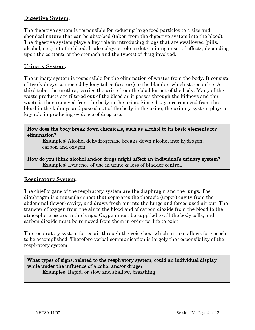#### **Digestive System:**

The digestive system is responsible for reducing large food particles to a size and chemical nature that can be absorbed (taken from the digestive system into the blood). The digestive system plays a key role in introducing drugs that are swallowed (pills, alcohol, etc.) into the blood. It also plays a role in determining onset of effects, depending upon the contents of the stomach and the type(s) of drug involved.

#### **Urinary System:**

The urinary system is responsible for the elimination of wastes from the body. It consists of two kidneys connected by long tubes (ureters) to the bladder, which stores urine. A third tube, the urethra, carries the urine from the bladder out of the body. Many of the waste products are filtered out of the blood as it passes through the kidneys and this waste is then removed from the body in the urine. Since drugs are removed from the blood in the kidneys and passed out of the body in the urine, the urinary system plays a key role in producing evidence of drug use.

#### How does the body break down chemicals, such as alcohol to its basic elements for elimination?

Examples: Alcohol dehydrogenase breaks down alcohol into hydrogen, carbon and oxygen.

How do you think alcohol and/or drugs might affect an individual's urinary system? Examples: Evidence of use in urine & loss of bladder control.

#### **Respiratory System:**

The chief organs of the respiratory system are the diaphragm and the lungs. The diaphragm is a muscular sheet that separates the thoracic (upper) cavity from the abdominal (lower) cavity, and draws fresh air into the lungs and forces used air out. The transfer of oxygen from the air to the blood and of carbon dioxide from the blood to the atmosphere occurs in the lungs. Oxygen must be supplied to all the body cells, and carbon dioxide must be removed from them in order for life to exist.

The respiratory system forces air through the voice box, which in turn allows for speech to be accomplished. Therefore verbal communication is largely the responsibility of the respiratory system.

What types of signs, related to the respiratory system, could an individual display while under the influence of alcohol and/or drugs? Examples: Rapid, or slow and shallow, breathing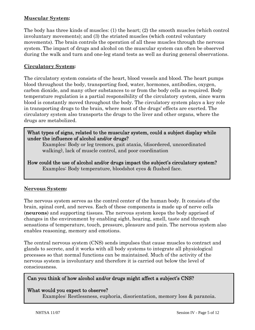#### **Muscular System:**

The body has three kinds of muscles: (1) the heart; (2) the smooth muscles (which control involuntary movements); and (3) the striated muscles (which control voluntary movements). The brain controls the operation of all these muscles through the nervous system. The impact of drugs and alcohol on the muscular system can often be observed during the walk and turn and one-leg stand tests as well as during general observations.

#### **Circulatory System:**

The circulatory system consists of the heart, blood vessels and blood. The heart pumps blood throughout the body, transporting food, water, hormones, antibodies, oxygen, carbon dioxide, and many other substances to or from the body cells as required. Body temperature regulation is a partial responsibility of the circulatory system, since warm blood is constantly moved throughout the body. The circulatory system plays a key role in transporting drugs to the brain, where most of the drugs' effects are exerted. The circulatory system also transports the drugs to the liver and other organs, where the drugs are metabolized.

What types of signs, related to the muscular system, could a subject display while under the influence of alcohol and/or drugs?

Examples: Body or leg tremors, gait ataxia, (disordered, uncoordinated walking), lack of muscle control, and poor coordination

How could the use of alcohol and/or drugs impact the subject's circulatory system? Examples: Body temperature, bloodshot eyes & flushed face.

#### **Nervous System:**

The nervous system serves as the control center of the human body. It consists of the brain, spinal cord, and nerves. Each of these components is made up of nerve cells (**neurons**) and supporting tissues. The nervous system keeps the body apprised of changes in the environment by enabling sight, hearing, smell, taste and through sensations of temperature, touch, pressure, pleasure and pain. The nervous system also enables reasoning, memory and emotions.

The central nervous system (CNS) sends impulses that cause muscles to contract and glands to secrete, and it works with all body systems to integrate all physiological processes so that normal functions can be maintained. Much of the activity of the nervous system is involuntary and therefore it is carried out below the level of consciousness.

#### Can you think of how alcohol and/or drugs might affect a subject's CNS?

#### What would you expect to observe?

Examples: Restlessness, euphoria, disorientation, memory loss & paranoia.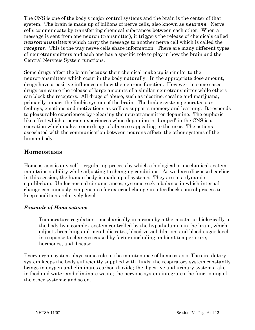The CNS is one of the body's major control systems and the brain is the center of that system. The brain is made up of billions of nerve cells, also known as *neurons*. Nerve cells communicate by transferring chemical substances between each other. When a message is sent from one neuron (transmitter), it triggers the release of chemicals called *neurotransmitters* which carry the message to another nerve cell which is called the *receptor*. This is the way nerve cells share information. There are many different types of neurotransmitters and each one has a specific role to play in how the brain and the Central Nervous System functions.

Some drugs affect the brain because their chemical make up is similar to the neurotransmitters which occur in the body naturally. In the appropriate dose amount, drugs have a positive influence on how the neurons function. However, in some cases, drugs can cause the release of large amounts of a similar neurotransmitter while others can block the receptors. All drugs of abuse, such as nicotine, cocaine and marijuana, primarily impact the limbic system of the brain. The limbic system generates our feelings, emotions and motivations as well as supports memory and learning. It responds to pleasurable experiences by releasing the neurotransmitter dopamine. The euphoric – like effect which a person experiences when dopamine is 'dumped' in the CNS is a sensation which makes some drugs of abuse so appealing to the user. The actions associated with the communication between neurons affects the other systems of the human body.

#### **Homeostasis**

Homeostasis is any self – regulating process by which a biological or mechanical system maintains stability while adjusting to changing conditions. As we have discussed earlier in this session, the human body is made up of systems. They are in a dynamic equilibrium. Under normal circumstances, systems seek a balance in which internal change continuously compensates for external change in a feedback control process to keep conditions relatively level.

#### *Example of Homeostasis:*

Temperature regulation—mechanically in a room by a thermostat or biologically in the body by a complex system controlled by the hypothalamus in the brain, which adjusts breathing and metabolic rates, blood-vessel dilation, and blood-sugar level in response to changes caused by factors including ambient temperature, hormones, and disease.

Every organ system plays some role in the maintenance of homeostasis. The circulatory system keeps the body sufficiently supplied with fluids; the respiratory system constantly brings in oxygen and eliminates carbon dioxide; the digestive and urinary systems take in food and water and eliminate waste; the nervous system integrates the functioning of the other systems; and so on.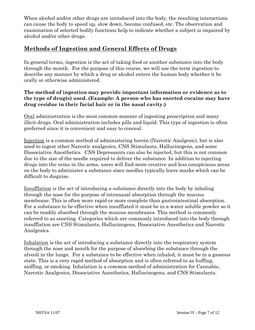When alcohol and/or other drugs are introduced into the body, the resulting interactions can cause the body to speed up, slow down, become confused, etc. The observation and examination of selected bodily functions help to indicate whether a subject is impaired by alcohol and/or other drugs.

#### **Methods of Ingestion and General Effects of Drugs**

In general terms, ingestion is the act of taking food or another substance into the body through the mouth. For the purpose of this course, we will use the term ingestion to describe any manner by which a drug or alcohol enters the human body whether it be orally or otherwise administered.

#### **The method of ingestion may provide important information or evidence as to the type of drug(s) used. (Example: A person who has snorted cocaine may have drug residue in their facial hair or in the nasal cavity.)**

Oral administration is the most common manner of ingesting prescription and many illicit drugs. Oral administration includes pills and liquid. This type of ingestion is often preferred since it is convenient and easy to conceal.

Injection is a common method of administering heroin (Narcotic Analgesic), but is also used to ingest other Narcotic analgesics, CNS Stimulants, Hallucinogens, and some Dissociative Anesthetics. CNS Depressants can also be injected, but this is not common due to the size of the needle required to deliver the substance. In addition to injecting drugs into the veins in the arms, users will find more creative and less conspicuous areas on the body to administer a substance since needles typically leave marks which can be difficult to disguise.

Insufflation is the act of introducing a substance directly into the body by inhaling through the nose for the purpose of intranasal absorption through the mucous membrane. This is often more rapid or more complete than gastrointestinal absorption. For a substance to be effective when insufflated it must be in a water soluble powder so it can be readily absorbed through the mucous membranes. This method is commonly referred to as snorting. Categories which are commonly introduced into the body through insufflation are CNS Stimulants, Hallucinogens, Dissociative Anesthetics and Narcotic Analgesics.

Inhalation is the act of introducing a substance directly into the respiratory system through the nose and mouth for the purpose of absorbing the substance through the alveoli in the lungs. For a substance to be effective when inhaled, it must be in a gaseous state. This is a very rapid method of absorption and is often referred to as huffing, sniffing, or smoking. Inhalation is a common method of administration for Cannabis, Narcotic Analgesics, Dissociative Anesthetics, Hallucinogens, and CNS Stimulants.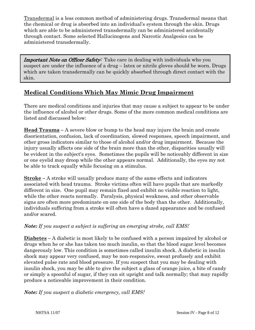Transdermal is a less common method of administering drugs. Transdermal means that the chemical or drug is absorbed into an individual's system through the skin. Drugs which are able to be administered transdermally can be administered accidentally through contact. Some selected Hallucinogens and Narcotic Analgesics can be administered transdermally.

Important Note on Officer Safety: Take care in dealing with individuals who you suspect are under the influence of a drug – latex or nitrile gloves should be worn. Drugs which are taken transdermally can be quickly absorbed through direct contact with the skin.

#### **Medical Conditions Which May Mimic Drug Impairment**

There are medical conditions and injuries that may cause a subject to appear to be under the influence of alcohol or other drugs. Some of the more common medical conditions are listed and discussed below:

**Head Trauma –** A severe blow or bump to the head may injure the brain and create disorientation, confusion, lack of coordination, slowed responses, speech impairment, and other gross indicators similar to those of alcohol and/or drug impairment. Because the injury usually affects one side of the brain more than the other, disparities usually will be evident in the subject's eyes. Sometimes the pupils will be noticeably different in size or one eyelid may droop while the other appears normal. Additionally, the eyes my not be able to track equally while focusing on a stimulus.

**Stroke –** A stroke will usually produce many of the same effects and indicators associated with head trauma. Stroke victims often will have pupils that are markedly different in size. One pupil may remain fixed and exhibit no visible reaction to light, while the other reacts normally. Paralysis, physical weakness, and other observable signs are often more predominate on one side of the body than the other. Additionally, individuals suffering from a stroke will often have a dazed appearance and be confused and/or scared.

#### *Note: If you suspect a subject is suffering an emerging stroke, call EMS!*

**Diabetes –** A diabetic is most likely to be confused with a person impaired by alcohol or drugs when he or she has taken too much insulin, so that the blood sugar level becomes dangerously low. This condition is sometimes called insulin shock. A diabetic in insulin shock may appear very confused, may be non-responsive, sweat profusely and exhibit elevated pulse rate and blood pressure. If you suspect that you may be dealing with insulin shock, you may be able to give the subject a glass of orange juice, a bite of candy or simply a spoonful of sugar, if they can sit upright and talk normally; that may rapidly produce a noticeable improvement in their condition.

*Note: If you suspect a diabetic emergency, call EMS!*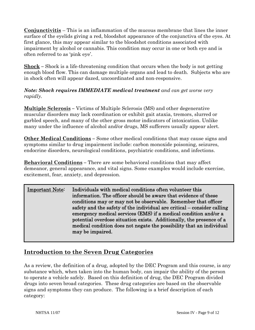**Conjunctivitis** – This is an inflammation of the mucous membrane that lines the inner surface of the eyelids giving a red, bloodshot appearance of the conjunctiva of the eyes. At first glance, this may appear similar to the bloodshot conditions associated with impairment by alcohol or cannabis. This condition may occur in one or both eye and is often referred to as 'pink eye'.

**Shock –** Shock is a life-threatening condition that occurs when the body is not getting enough blood flow. This can damage multiple organs and lead to death. Subjects who are in shock often will appear dazed, uncoordinated and non-responsive.

#### *Note: Shock requires IMMEDIATE medical treatment and can get worse very rapidly.*

**Multiple Sclerosis –** Victims of Multiple Sclerosis (MS) and other degenerative muscular disorders may lack coordination or exhibit gait ataxia, tremors, slurred or garbled speech, and many of the other gross motor indicators of intoxication. Unlike many under the influence of alcohol and/or drugs, MS sufferers usually appear alert.

**Other Medical Conditions –** Some other medical conditions that may cause signs and symptoms similar to drug impairment include: carbon monoxide poisoning, seizures, endocrine disorders, neurological conditions, psychiatric conditions, and infections.

**Behavioral Conditions –** There are some behavioral conditions that may affect demeanor, general appearance, and vital signs. Some examples would include exercise, excitement, fear, anxiety, and depression.

Important Note: Individuals with medical conditions often volunteer this information. The officer should be aware that evidence of these conditions may or may not be observable. Remember that officer safety and the safety of the individual are critical – consider calling emergency medical services (EMS) if a medical condition and/or a potential overdose situation exists. Additionally, the presence of a medical condition does not negate the possibility that an individual may be impaired.

## **Introduction to the Seven Drug Categories**

As a review, the definition of a drug, adopted by the DEC Program and this course, is any substance which, when taken into the human body, can impair the ability of the person to operate a vehicle safely. Based on this definition of drug, the DEC Program divided drugs into seven broad categories. These drug categories are based on the observable signs and symptoms they can produce. The following is a brief description of each category: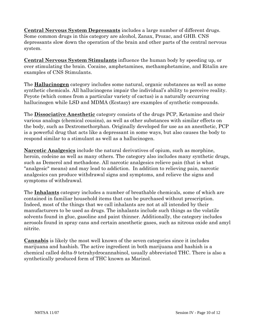**Central Nervous System Depressants** includes a large number of different drugs. Some common drugs in this category are alcohol, Zanax, Prozac, and GHB. CNS depressants slow down the operation of the brain and other parts of the central nervous system.

**Central Nervous System Stimulants** influence the human body by speeding up, or over stimulating the brain. Cocaine, amphetamines, methamphetamine, and Ritalin are examples of CNS Stimulants.

The **Hallucinogen** category includes some natural, organic substances as well as some synthetic chemicals. All hallucinogens impair the individual's ability to perceive reality. Peyote (which comes from a particular variety of cactus) is a naturally occurring hallucinogen while LSD and MDMA (Ecstasy) are examples of synthetic compounds.

The **Dissociative Anesthetic** category consists of the drugs PCP, Ketamine and their various analogs (chemical cousins), as well as other substances with similar effects on the body, such as Dextromethorphan. Originally developed for use as an anesthetic, PCP is a powerful drug that acts like a depressant in some ways, but also causes the body to respond similar to a stimulant as well as a hallucinogen.

**Narcotic Analgesics** include the natural derivatives of opium, such as morphine, heroin, codeine as well as many others. The category also includes many synthetic drugs, such as Demerol and methadone. All narcotic analgesics relieve pain (that is what "analgesic" means) and may lead to addiction. In addition to relieving pain, narcotic analgesics can produce withdrawal signs and symptoms, and relieve the signs and symptoms of withdrawal.

The **Inhalants** category includes a number of breathable chemicals, some of which are contained in familiar household items that can be purchased without prescription. Indeed, most of the things that we call inhalants are not at all intended by their manufacturers to be used as drugs. The inhalants include such things as the volatile solvents found in glue, gasoline and paint thinner. Additionally, the category includes aerosols found in spray cans and certain anesthetic gases, such as nitrous oxide and amyl nitrite.

**Cannabis** is likely the most well known of the seven categories since it includes marijuana and hashish. The active ingredient in both marijuana and hashish is a chemical called delta-9 tetrahydrocannabinol, usually abbreviated THC. There is also a synthetically produced form of THC known as Marinol.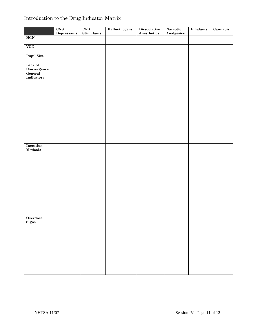## Introduction to the Drug Indicator Matrix

|                        | CNS         | CNS               | Hallucinogens | <b>Dissociative</b><br>Anesthetics | Narcotic          | <b>Inhalants</b> | Cannabis |
|------------------------|-------------|-------------------|---------------|------------------------------------|-------------------|------------------|----------|
| HGN                    | Depressants | <b>Stimulants</b> |               |                                    | <b>Analgesics</b> |                  |          |
|                        |             |                   |               |                                    |                   |                  |          |
| VGN                    |             |                   |               |                                    |                   |                  |          |
|                        |             |                   |               |                                    |                   |                  |          |
| <b>Pupil Size</b>      |             |                   |               |                                    |                   |                  |          |
|                        |             |                   |               |                                    |                   |                  |          |
| Lack of                |             |                   |               |                                    |                   |                  |          |
| Convergence<br>General |             |                   |               |                                    |                   |                  |          |
| <b>Indicators</b>      |             |                   |               |                                    |                   |                  |          |
|                        |             |                   |               |                                    |                   |                  |          |
|                        |             |                   |               |                                    |                   |                  |          |
|                        |             |                   |               |                                    |                   |                  |          |
|                        |             |                   |               |                                    |                   |                  |          |
|                        |             |                   |               |                                    |                   |                  |          |
|                        |             |                   |               |                                    |                   |                  |          |
|                        |             |                   |               |                                    |                   |                  |          |
|                        |             |                   |               |                                    |                   |                  |          |
|                        |             |                   |               |                                    |                   |                  |          |
|                        |             |                   |               |                                    |                   |                  |          |
|                        |             |                   |               |                                    |                   |                  |          |
|                        |             |                   |               |                                    |                   |                  |          |
|                        |             |                   |               |                                    |                   |                  |          |
| Ingestion              |             |                   |               |                                    |                   |                  |          |
| Methods                |             |                   |               |                                    |                   |                  |          |
|                        |             |                   |               |                                    |                   |                  |          |
|                        |             |                   |               |                                    |                   |                  |          |
|                        |             |                   |               |                                    |                   |                  |          |
|                        |             |                   |               |                                    |                   |                  |          |
|                        |             |                   |               |                                    |                   |                  |          |
|                        |             |                   |               |                                    |                   |                  |          |
|                        |             |                   |               |                                    |                   |                  |          |
|                        |             |                   |               |                                    |                   |                  |          |
|                        |             |                   |               |                                    |                   |                  |          |
|                        |             |                   |               |                                    |                   |                  |          |
|                        |             |                   |               |                                    |                   |                  |          |
|                        |             |                   |               |                                    |                   |                  |          |
| Overdose               |             |                   |               |                                    |                   |                  |          |
| Signs                  |             |                   |               |                                    |                   |                  |          |
|                        |             |                   |               |                                    |                   |                  |          |
|                        |             |                   |               |                                    |                   |                  |          |
|                        |             |                   |               |                                    |                   |                  |          |
|                        |             |                   |               |                                    |                   |                  |          |
|                        |             |                   |               |                                    |                   |                  |          |
|                        |             |                   |               |                                    |                   |                  |          |
|                        |             |                   |               |                                    |                   |                  |          |
|                        |             |                   |               |                                    |                   |                  |          |
|                        |             |                   |               |                                    |                   |                  |          |
|                        |             |                   |               |                                    |                   |                  |          |
|                        |             |                   |               |                                    |                   |                  |          |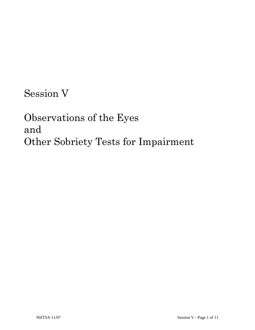Session V

Observations of the Eyes and Other Sobriety Tests for Impairment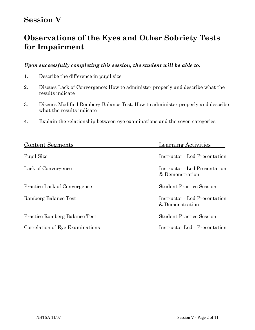## **Session V**

## **Observations of the Eyes and Other Sobriety Tests for Impairment**

#### *Upon successfully completing this session, the student will be able to:*

- 1. Describe the difference in pupil size
- 2. Discuss Lack of Convergence: How to administer properly and describe what the results indicate
- 3. Discuss Modified Romberg Balance Test: How to administer properly and describe what the results indicate
- 4. Explain the relationship between eye examinations and the seven categories

| Content Segments                     | <b>Learning Activities</b>                              |
|--------------------------------------|---------------------------------------------------------|
| Pupil Size                           | Instructor - Led Presentation                           |
| Lack of Convergence                  | Instructor –Led Presentation<br>& Demonstration         |
| <b>Practice Lack of Convergence</b>  | <b>Student Practice Session</b>                         |
| Romberg Balance Test                 | <b>Instructor</b> - Led Presentation<br>& Demonstration |
| <b>Practice Romberg Balance Test</b> | <b>Student Practice Session</b>                         |
| Correlation of Eye Examinations      | Instructor Led - Presentation                           |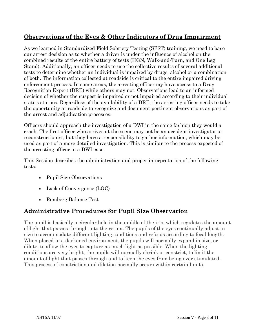## **Observations of the Eyes & Other Indicators of Drug Impairment**

As we learned in Standardized Field Sobriety Testing (SFST) training, we need to base our arrest decision as to whether a driver is under the influence of alcohol on the combined results of the entire battery of tests (HGN, Walk-and-Turn, and One Leg Stand). Additionally, an officer needs to use the collective results of several additional tests to determine whether an individual is impaired by drugs, alcohol or a combination of both. The information collected at roadside is critical to the entire impaired driving enforcement process. In some areas, the arresting officer my have access to a Drug Recognition Expert (DRE) while others may not. Observations lead to an informed decision of whether the suspect is impaired or not impaired according to their individual state's statues. Regardless of the availability of a DRE, the arresting officer needs to take the opportunity at roadside to recognize and document pertinent observations as part of the arrest and adjudication processes.

Officers should approach the investigation of a DWI in the same fashion they would a crash. The first officer who arrives at the scene may not be an accident investigator or reconstructionist, but they have a responsibility to gather information, which may be used as part of a more detailed investigation. This is similar to the process expected of the arresting officer in a DWI case.

This Session describes the administration and proper interpretation of the following tests:

- Pupil Size Observations
- Lack of Convergence (LOC)
- Romberg Balance Test

## **Administrative Procedures for Pupil Size Observation**

The pupil is basically a circular hole in the middle of the iris, which regulates the amount of light that passes through into the retina. The pupils of the eyes continually adjust in size to accommodate different lighting conditions and refocus according to focal length. When placed in a darkened environment, the pupils will normally expand in size, or dilate, to allow the eyes to capture as much light as possible. When the lighting conditions are very bright, the pupils will normally shrink or constrict, to limit the amount of light that passes through and to keep the eyes from being over stimulated. This process of constriction and dilation normally occurs within certain limits.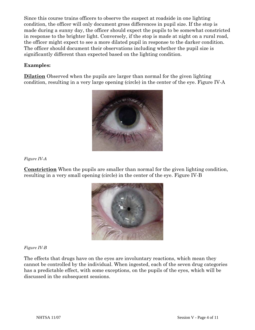Since this course trains officers to observe the suspect at roadside in one lighting condition, the officer will only document gross differences in pupil size. If the stop is made during a sunny day, the officer should expect the pupils to be somewhat constricted in response to the brighter light. Conversely, if the stop is made at night on a rural road, the officer might expect to see a more dilated pupil in response to the darker condition. The officer should document their observations including whether the pupil size is significantly different than expected based on the lighting condition.

#### **Examples:**

**Dilation** Observed when the pupils are larger than normal for the given lighting condition, resulting in a very large opening (circle) in the center of the eye. Figure IV-A



*Figure IV-A* 

**Constriction** When the pupils are smaller than normal for the given lighting condition, resulting in a very small opening (circle) in the center of the eye. Figure IV-B



*Figure IV-B* 

The effects that drugs have on the eyes are involuntary reactions, which mean they cannot be controlled by the individual. When ingested, each of the seven drug categories has a predictable effect, with some exceptions, on the pupils of the eyes, which will be discussed in the subsequent sessions.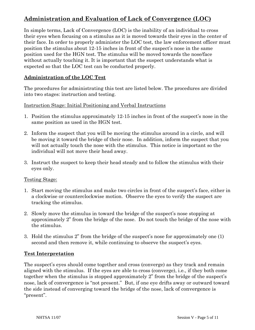## **Administration and Evaluation of Lack of Convergence (LOC)**

In simple terms, Lack of Convergence (LOC) is the inability of an individual to cross their eyes when focusing on a stimulus as it is moved towards their eyes in the center of their face. In order to properly administer the LOC test, the law enforcement officer must position the stimulus about 12-15 inches in front of the suspect's nose in the same position used for the HGN test. The stimulus will be moved towards the nose/face without actually touching it. It is important that the suspect understands what is expected so that the LOC test can be conducted properly.

#### **Administration of the LOC Test**

The procedures for administrating this test are listed below. The procedures are divided into two stages: instruction and testing.

#### Instruction Stage: Initial Positioning and Verbal Instructions

- 1. Position the stimulus approximately 12-15 inches in front of the suspect's nose in the same position as used in the HGN test.
- 2. Inform the suspect that you will be moving the stimulus around in a circle, and will be moving it toward the bridge of their nose. In addition, inform the suspect that you will not actually touch the nose with the stimulus. This notice is important so the individual will not move their head away.
- 3. Instruct the suspect to keep their head steady and to follow the stimulus with their eyes only.

#### Testing Stage:

- 1. Start moving the stimulus and make two circles in front of the suspect's face, either in a clockwise or counterclockwise motion. Observe the eyes to verify the suspect are tracking the stimulus.
- 2. Slowly move the stimulus in toward the bridge of the suspect's nose stopping at approximately 2" from the bridge of the nose. Do not touch the bridge of the nose with the stimulus.
- 3. Hold the stimulus 2" from the bridge of the suspect's nose for approximately one (1) second and then remove it, while continuing to observe the suspect's eyes.

#### **Test Interpretation**

The suspect's eyes should come together and cross (converge) as they track and remain aligned with the stimulus. If the eyes are able to cross (converge), i.e., if they both come together when the stimulus is stopped approximately 2" from the bridge of the suspect's nose, lack of convergence is "not present." But, if one eye drifts away or outward toward the side instead of converging toward the bridge of the nose, lack of convergence is "present".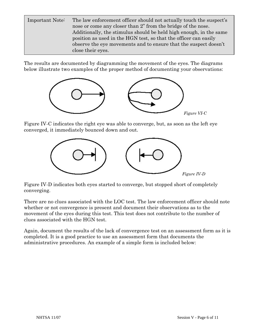Important Note: The law enforcement officer should not actually touch the suspect's nose or come any closer than 2" from the bridge of the nose. Additionally, the stimulus should be held high enough, in the same position as used in the HGN test, so that the officer can easily observe the eye movements and to ensure that the suspect doesn't close their eyes.

The results are documented by diagramming the movement of the eyes. The diagrams below illustrate two examples of the proper method of documenting your observations:



Figure IV-C indicates the right eye was able to converge, but, as soon as the left eye converged, it immediately bounced down and out.



Figure IV-D indicates both eyes started to converge, but stopped short of completely converging.

There are no clues associated with the LOC test. The law enforcement officer should note whether or not convergence is present and document their observations as to the movement of the eyes during this test. This test does not contribute to the number of clues associated with the HGN test.

Again, document the results of the lack of convergence test on an assessment form as it is completed. It is a good practice to use an assessment form that documents the administrative procedures. An example of a simple form is included below: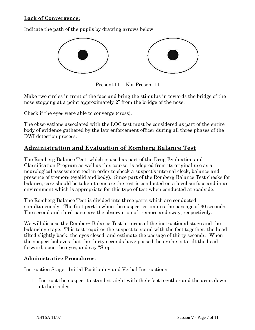#### **Lack of Convergence:**

Indicate the path of the pupils by drawing arrows below:



Present **□** Not Present **□**

Make two circles in front of the face and bring the stimulus in towards the bridge of the nose stopping at a point approximately 2" from the bridge of the nose.

Check if the eyes were able to converge (cross).

The observations associated with the LOC test must be considered as part of the entire body of evidence gathered by the law enforcement officer during all three phases of the DWI detection process.

### **Administration and Evaluation of Romberg Balance Test**

The Romberg Balance Test, which is used as part of the Drug Evaluation and Classification Program as well as this course, is adopted from its original use as a neurological assessment tool in order to check a suspect's internal clock, balance and presence of tremors (eyelid and body). Since part of the Romberg Balance Test checks for balance, care should be taken to ensure the test is conducted on a level surface and in an environment which is appropriate for this type of test when conducted at roadside.

The Romberg Balance Test is divided into three parts which are conducted simultaneously. The first part is when the suspect estimates the passage of 30 seconds. The second and third parts are the observation of tremors and sway, respectively.

We will discuss the Romberg Balance Test in terms of the instructional stage and the balancing stage. This test requires the suspect to stand with the feet together, the head tilted slightly back, the eyes closed, and estimate the passage of thirty seconds. When the suspect believes that the thirty seconds have passed, he or she is to tilt the head forward, open the eyes, and say "Stop".

#### **Administrative Procedures:**

Instruction Stage: Initial Positioning and Verbal Instructions

1. Instruct the suspect to stand straight with their feet together and the arms down at their sides.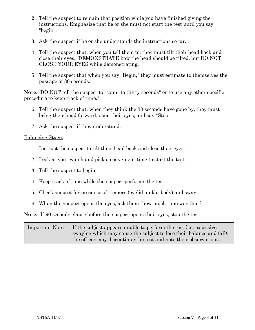- 2. Tell the suspect to remain that position while you have finished giving the instructions. Emphasize that he or she must not start the test until you say "begin".
- 3. Ask the suspect if he or she understands the instructions so far.
- 4. Tell the suspect that, when you tell them to, they must tilt their head back and close their eyes. DEMONSTRATE how the head should be tilted, but DO NOT CLOSE YOUR EYES while demonstrating.
- 5. Tell the suspect that when you say "Begin," they must estimate to themselves the passage of 30 seconds.

**Note:** DO NOT tell the suspect to "count to thirty seconds" or to use any other specific procedure to keep track of time."

- 6. Tell the suspect that, when they think the 30 seconds have gone by, they must bring their head forward, open their eyes, and say "Stop."
- 7. Ask the suspect if they understand.

#### Balancing Stage:

- 1. Instruct the suspect to tilt their head back and close their eyes.
- 2. Look at your watch and pick a convenient time to start the test.
- 3. Tell the suspect to begin.
- 4. Keep track of time while the suspect performs the test.
- 5. Check suspect for presence of tremors (eyelid and/or body) and sway.
- 6. When the suspect opens the eyes, ask them "how much time was that?"

**Note:** If 90 seconds elapse before the suspect opens their eyes, stop the test.

Important Note: If the subject appears unable to perform the test (i.e. excessive swaying which may cause the subject to lose their balance and fall), the officer may discontinue the test and note their observations.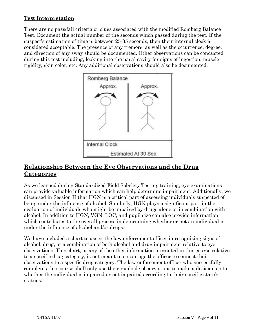#### **Test Interpretation**

There are no pass/fail criteria or clues associated with the modified Romberg Balance Test. Document the actual number of the seconds which passed during the test. If the suspect's estimation of time is between 25-35 seconds, then their internal clock is considered acceptable. The presence of any tremors, as well as the occurrence, degree, and direction of any sway should be documented. Other observations can be conducted during this test including, looking into the nasal cavity for signs of ingestion, muscle rigidity, skin color, etc. Any additional observations should also be documented.



## **Relationship Between the Eye Observations and the Drug Categories**

As we learned during Standardized Field Sobriety Testing training, eye examinations can provide valuable information which can help determine impairment. Additionally, we discussed in Session II that HGN is a critical part of assessing individuals suspected of being under the influence of alcohol. Similarly, HGN plays a significant part in the evaluation of individuals who might be impaired by drugs alone or in combination with alcohol. In addition to HGN, VGN, LOC, and pupil size can also provide information which contributes to the overall process in determining whether or not an individual is under the influence of alcohol and/or drugs.

We have included a chart to assist the law enforcement officer in recognizing signs of alcohol, drug, or a combination of both alcohol and drug impairment relative to eye observations. This chart, or any of the other information presented in this course relative to a specific drug category, is not meant to encourage the officer to connect their observations to a specific drug category. The law enforcement officer who successfully completes this course shall only use their roadside observations to make a decision as to whether the individual is impaired or not impaired according to their specific state's statues.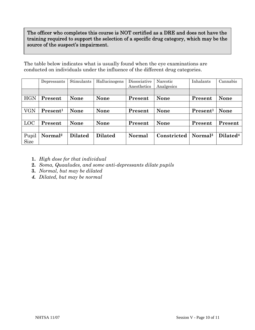The officer who completes this course is NOT certified as a DRE and does not have the training required to support the selection of a specific drug category, which may be the source of the suspect's impairment.

The table below indicates what is usually found when the eye examinations are conducted on individuals under the influence of the different drug categories.

|             | Depressants          | Stimulants     | Hallucinogens  | Dissociative<br>Anesthetics | Narcotic<br>Analgesics | Inhalants            | Cannabis             |
|-------------|----------------------|----------------|----------------|-----------------------------|------------------------|----------------------|----------------------|
|             |                      |                |                |                             |                        |                      |                      |
| <b>HGN</b>  | Present              | <b>None</b>    | <b>None</b>    | Present                     | <b>None</b>            | Present              | <b>None</b>          |
|             |                      |                |                |                             |                        |                      |                      |
| VGN         | Present <sup>1</sup> | <b>None</b>    | <b>None</b>    | Present                     | <b>None</b>            | Present <sup>1</sup> | <b>None</b>          |
|             |                      |                |                |                             |                        |                      |                      |
| <b>LOC</b>  | Present              | <b>None</b>    | <b>None</b>    | Present                     | <b>None</b>            | Present              | Present              |
|             |                      |                |                |                             |                        |                      |                      |
| Pupil       | Normal <sup>2</sup>  | <b>Dilated</b> | <b>Dilated</b> | Normal                      | Constricted            | Normal <sup>3</sup>  | Dilated <sup>4</sup> |
| <b>Size</b> |                      |                |                |                             |                        |                      |                      |

- **1.** *High dose for that individual*
- **2.** *Soma, Quaaludes, and some anti-depressants dilate pupils*
- **3.** *Normal, but may be dilated*
- *4. Dilated, but may be normal*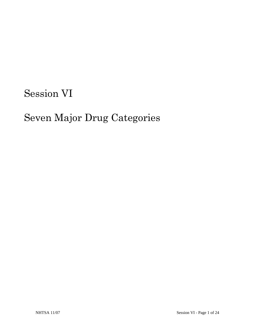# Session VI

# Seven Major Drug Categories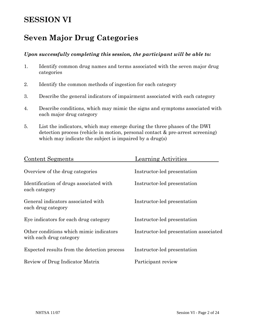## **SESSION VI**

## **Seven Major Drug Categories**

#### *Upon successfully completing this session, the participant will be able to:*

- 1. Identify common drug names and terms associated with the seven major drug categories
- 2. Identify the common methods of ingestion for each category
- 3. Describe the general indicators of impairment associated with each category
- 4. Describe conditions, which may mimic the signs and symptoms associated with each major drug category
- 5. List the indicators, which may emerge during the three phases of the DWI detection process (vehicle in motion, personal contact & pre-arrest screening) which may indicate the subject is impaired by a drug(s)

| <b>Content Segments</b>                                            | <b>Learning Activities</b>             |
|--------------------------------------------------------------------|----------------------------------------|
| Overview of the drug categories                                    | Instructor-led presentation            |
| Identification of drugs associated with<br>each category           | Instructor-led presentation            |
| General indicators associated with<br>each drug category           | Instructor-led presentation            |
| Eye indicators for each drug category                              | Instructor-led presentation            |
| Other conditions which mimic indicators<br>with each drug category | Instructor-led presentation associated |
| Expected results from the detection process                        | Instructor-led presentation            |
| Review of Drug Indicator Matrix                                    | Participant review                     |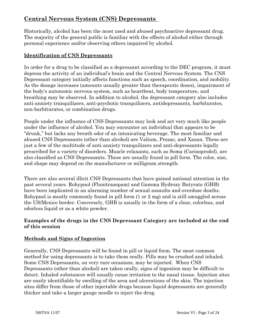## **Central Nervous System (CNS) Depressants**

Historically, alcohol has been the most used and abused psychoactive depressant drug. The majority of the general public is familiar with the effects of alcohol either through personal experience and/or observing others impaired by alcohol.

#### **Identification of CNS Depressants**

In order for a drug to be classified as a depressant according to the DEC program, it must depress the activity of an individual's brain and the Central Nervous System. The CNS Depressant category initially affects functions such as speech, coordination, and mobility. As the dosage increases (amounts usually greater than therapeutic doses), impairment of the body's autonomic nervous system, such as heartbeat, body temperature, and breathing may be observed. In addition to alcohol, the depressant category also includes anti-anxiety tranquilizers, anti-psychotic tranquilizers, antidepressants, barbiturates, non-barbiturates, or combination drugs.

People under the influence of CNS Depressants may look and act very much like people under the influence of alcohol. You may encounter an individual that appears to be "drunk," but lacks any breath odor of an intoxicating beverage. The most familiar and abused CNS Depressants (other than alcohol) are Valium, Prozac, and Xanax. These are just a few of the multitude of anti-anxiety tranquilizers and anti-depressants legally prescribed for a variety of disorders. Muscle relaxants, such as Soma (Carisoprodol), are also classified as CNS Depressants. These are usually found in pill form. The color, size, and shape may depend on the manufacturer or milligram strength.

There are also several illicit CNS Depressants that have gained national attention in the past several years. Rohypnol (Flunitrazepam) and Gamma Hydroxy Butyrate (GHB) have been implicated in an alarming number of sexual assaults and overdose deaths. Rohypnol is mostly commonly found in pill form (1 or 2 mg) and is still smuggled across the US/Mexico border. Conversely, GHB is usually in the form of a clear, colorless, and odorless liquid or as a white powder.

#### **Examples of the drugs in the CNS Depressant Category are included at the end of this session**

#### **Methods and Signs of Ingestion**

Generally, CNS Depressants will be found in pill or liquid form. The most common method for using depressants is to take them orally. Pills may be crushed and inhaled. Some CNS Depressants, on very rare occasions, may be injected. When CNS Depressants (other than alcohol) are taken orally, signs of ingestion may be difficult to detect. Inhaled substances will usually cause irritation to the nasal tissue. Injection sites are easily identifiable by swelling of the area and ulcerations of the skin. The injection sites differ from those of other injectable drugs because liquid depressants are generally thicker and take a larger gauge needle to inject the drug.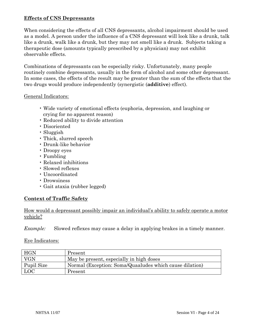#### **Effects of CNS Depressants**

When considering the effects of all CNS depressants, alcohol impairment should be used as a model. A person under the influence of a CNS depressant will look like a drunk, talk like a drunk, walk like a drunk, but they may not smell like a drunk. Subjects taking a therapeutic dose (amounts typically prescribed by a physician) may not exhibit observable effects.

Combinations of depressants can be especially risky. Unfortunately, many people routinely combine depressants, usually in the form of alcohol and some other depressant. In some cases, the effects of the result may be greater than the sum of the effects that the two drugs would produce independently (synergistic (**additive**) effect).

#### General Indicators:

- Wide variety of emotional effects (euphoria, depression, and laughing or crying for no apparent reason)
- Reduced ability to divide attention
- Disoriented
- Sluggish
- Thick, slurred speech
- Drunk-like behavior
- Droopy eyes
- Fumbling
- Relaxed inhibitions
- Slowed reflexes
- Uncoordinated
- Drowsiness
- Gait ataxia (rubber legged)

#### **Context of Traffic Safety**

How would a depressant possibly impair an individual's ability to safely operate a motor vehicle?

*Example:* Slowed reflexes may cause a delay in applying brakes in a timely manner.

#### Eye Indicators:

| <b>HGN</b> | Present                                                 |
|------------|---------------------------------------------------------|
| VGN        | May be present, especially in high doses                |
| Pupil Size | Normal (Exception: Soma/Quaaludes which cause dilation) |
| <b>LOC</b> | Present                                                 |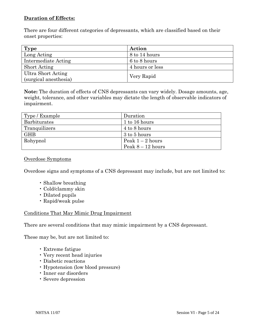#### **Duration of Effects:**

There are four different categories of depressants, which are classified based on their onset properties:

| Type                  | Action          |  |
|-----------------------|-----------------|--|
| Long Acting           | 8 to 14 hours   |  |
| Intermediate Acting   | 6 to 8 hours    |  |
| <b>Short Acting</b>   | 4 hours or less |  |
| Ultra Short Acting    |                 |  |
| (surgical anesthesia) | Very Rapid      |  |

**Note:** The duration of effects of CNS depressants can vary widely. Dosage amounts, age, weight, tolerance, and other variables may dictate the length of observable indicators of impairment.

| Type / Example | Duration          |
|----------------|-------------------|
| Barbiturates   | 1 to 16 hours     |
| Tranquilizers  | 4 to 8 hours      |
| <b>GHB</b>     | 3 to 5 hours      |
| Rohypnol       | Peak $1-2$ hours  |
|                | Peak $8-12$ hours |

#### Overdose Symptoms

Overdose signs and symptoms of a CNS depressant may include, but are not limited to:

- Shallow breathing
- Cold/clammy skin
- Dilated pupils
- Rapid/weak pulse

#### Conditions That May Mimic Drug Impairment

There are several conditions that may mimic impairment by a CNS depressant.

These may be, but are not limited to:

- Extreme fatigue
- Very recent head injuries
- Diabetic reactions
- Hypotension (low blood pressure)
- Inner ear disorders
- Severe depression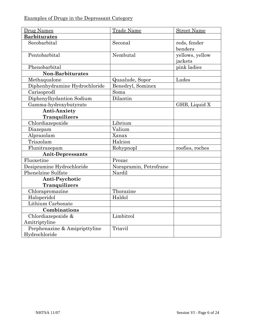| Drug Names                                     | <b>Trade Name</b>      | <b>Street Name</b>         |
|------------------------------------------------|------------------------|----------------------------|
| <b>Barbiturates</b>                            |                        |                            |
| Secobarbital                                   | Seconal                | reds, fender<br>benders    |
| Pentobarbital                                  | Nembutal               | yellows, yellow<br>jackets |
| Phenobarbital                                  |                        | pink ladies                |
| <b>Non-Barbiturates</b>                        |                        |                            |
| Methaqualone                                   | Quaalude, Sopor        | Ludes                      |
| Diphenhydramine Hydrochloride                  | Benedryl, Sominex      |                            |
| Carisoprodl                                    | Soma                   |                            |
| Diphenylhydantion Sodium                       | Dilantin               |                            |
| Gamma-hydroxybutyrate                          |                        | GHB, Liquid X              |
| <b>Anti-Anxiety</b>                            |                        |                            |
| <b>Tranquilizers</b>                           |                        |                            |
| Chlordiazepoxide                               | Librium                |                            |
| Diazepam                                       | Valium                 |                            |
| Alprazolam                                     | Xanax                  |                            |
| Triazolam                                      | Halcion                |                            |
| Flunitrazepam                                  | Rohypnopl              | roofies, roches            |
| <b>Anit-Depressants</b>                        |                        |                            |
| Fluoxetine                                     | Prozac                 |                            |
| Desipramine Hydrochloride                      | Norapramin, Petrofrane |                            |
| Phenelzine Sulfate                             | Nardil                 |                            |
| Anti-Psychotic                                 |                        |                            |
| <b>Tranquilizers</b>                           |                        |                            |
| Chlorapromazine                                | Thorazine              |                            |
| Haloperidol                                    | Haldol                 |                            |
| Lithium Carbonate                              |                        |                            |
| Combinations                                   |                        |                            |
| Chlordiazepoxide &                             | Limbitrol              |                            |
| Amitriptyline                                  |                        |                            |
| Perphenazine & Amipripttyline<br>Hydrochloride | Triavil                |                            |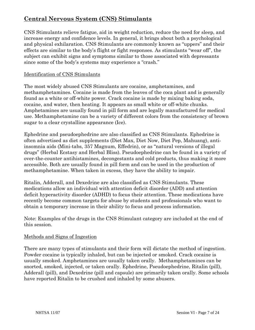## **Central Nervous System (CNS) Stimulants**

CNS Stimulants relieve fatigue, aid in weight reduction, reduce the need for sleep, and increase energy and confidence levels. In general, it brings about both a psychological and physical exhilaration. CNS Stimulants are commonly known as "uppers" and their effects are similar to the body's flight or fight responses. As stimulants "wear off", the subject can exhibit signs and symptoms similar to those associated with depressants since some of the body's systems may experience a "crash."

#### Identification of CNS Stimulants

The most widely abused CNS Stimulants are cocaine, amphetamines, and methamphetamines. Cocaine is made from the leaves of the coca plant and is generally found as a white or off-white power. Crack cocaine is made by mixing baking soda, cocaine, and water, then heating. It appears as small white or off-white chunks. Amphetamines are usually found in pill form and are legally manufactured for medical use. Methamphetamine can be a variety of different colors from the consistency of brown sugar to a clear crystalline appearance (Ice).

Ephedrine and pseudoephedrine are also classified as CNS Stimulants. Ephedrine is often advertised as diet supplements (Diet Max, Diet Now, Diet Pep, Mahuang), antiinsomnia aids (Mini-tabs, 357 Magnum, Effedrin), or as "natural versions of illegal drugs" (Herbal Ecstasy and Herbal Bliss). Pseudoephedrine can be found in a variety of over-the-counter antihistamines, decongestants and cold products, thus making it more accessible. Both are usually found in pill form and can be used in the production of methamphetamine. When taken in excess, they have the ability to impair.

Ritalin, Adderall, and Dexedrine are also classified as CNS Stimulants. These medications allow an individual with attention deficit disorder (ADD) and attention deficit hyperactivity disorder (ADHD) to focus their attention. These medications have recently become common targets for abuse by students and professionals who want to obtain a temporary increase in their ability to focus and process information.

Note: Examples of the drugs in the CNS Stimulant category are included at the end of this session.

#### Methods and Signs of Ingestion

There are many types of stimulants and their form will dictate the method of ingestion. Powder cocaine is typically inhaled, but can be injected or smoked. Crack cocaine is usually smoked. Amphetamines are usually taken orally. Methamphetamines can be snorted, smoked, injected, or taken orally. Ephedrine, Pseudoephedrine, Ritalin (pill), Adderall (pill), and Dexedrine (pill and capsule) are primarily taken orally. Some schools have reported Ritalin to be crushed and inhaled by some abusers.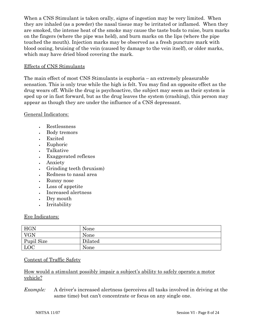When a CNS Stimulant is taken orally, signs of ingestion may be very limited. When they are inhaled (as a powder) the nasal tissue may be irritated or inflamed. When they are smoked, the intense heat of the smoke may cause the taste buds to raise, burn marks on the fingers (where the pipe was held), and burn marks on the lips (where the pipe touched the mouth). Injection marks may be observed as a fresh puncture mark with blood oozing, bruising of the vein (caused by damage to the vein itself), or older marks, which may have dried blood covering the mark.

#### Effects of CNS Stimulants

The main effect of most CNS Stimulants is euphoria – an extremely pleasurable sensation. This is only true while the high is felt. You may find an opposite effect as the drug wears off. While the drug is psychoactive, the subject may seem as their system is sped up or in fast forward, but as the drug leaves the system (crashing), this person may appear as though they are under the influence of a CNS depressant.

General Indicators:

- Restlessness
- Body tremors
- Excited
- Euphoric
- Talkative
- Exaggerated reflexes
- Anxiety
- Grinding teeth (bruxism)
- Redness to nasal area
- Runny nose
- Loss of appetite
- Increased alertness
- Dry mouth
- Irritability

#### Eye Indicators:

| HGN        | None    |
|------------|---------|
| <b>VGN</b> | None    |
| Pupil Size | Dilated |
| LOC        | None    |

#### Context of Traffic Safety

How would a stimulant possibly impair a subject's ability to safely operate a motor vehicle?

*Example:* A driver's increased alertness (perceives all tasks involved in driving at the same time) but can't concentrate or focus on any single one.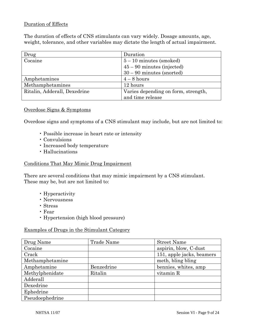#### Duration of Effects

The duration of effects of CNS stimulants can vary widely. Dosage amounts, age, weight, tolerance, and other variables may dictate the length of actual impairment.

| Drug                         | Duration                            |  |
|------------------------------|-------------------------------------|--|
| Cocaine                      | $5-10$ minutes (smoked)             |  |
|                              | $45 - 90$ minutes (injected)        |  |
|                              | $30 - 90$ minutes (snorted)         |  |
| Amphetamines                 | $4-8$ hours                         |  |
| Methamphetamines             | 12 hours                            |  |
| Ritalin, Adderall, Dexedrine | Varies depending on form, strength, |  |
|                              | and time release                    |  |

#### Overdose Signs & Symptoms

Overdose signs and symptoms of a CNS stimulant may include, but are not limited to:

- Possible increase in heart rate or intensity
- Convulsions
- Increased body temperature
- Hallucinations

#### Conditions That May Mimic Drug Impairment

There are several conditions that may mimic impairment by a CNS stimulant. These may be, but are not limited to:

- Hyperactivity
- Nervousness
- Stress
- Fear
- Hypertension (high blood pressure)

#### Examples of Drugs in the Stimulant Category

| Drug Name       | Trade Name | <b>Street Name</b>        |
|-----------------|------------|---------------------------|
| Cocaine         |            | aspirin, blow, C-dust     |
| Crack           |            | 151, apple jacks, beamers |
| Methamphetamine |            | meth, bling bling         |
| Amphetamine     | Benzedrine | bennies, whites, amp      |
| Methylphenidate | Ritalin    | vitamin R                 |
| Adderall        |            |                           |
| Dexedrine       |            |                           |
| Ephedrine       |            |                           |
| Pseudoephedrine |            |                           |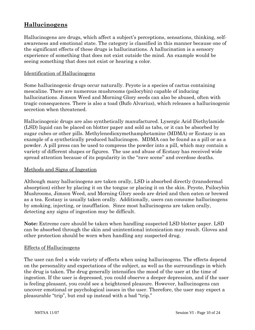## **Hallucinogens**

Hallucinogens are drugs, which affect a subject's perceptions, sensations, thinking, selfawareness and emotional state. The category is classified in this manner because one of the significant effects of these drugs is hallucinations. A hallucination is a sensory experience of something that does not exist outside the mind. An example would be seeing something that does not exist or hearing a color.

#### Identification of Hallucinogens

Some hallucinogenic drugs occur naturally. Peyote is a species of cactus containing mescaline. There are numerous mushrooms (psilocybin) capable of inducing hallucinations. Jimson Weed and Morning Glory seeds can also be abused, often with tragic consequences. There is also a toad (Bufo Alvarius), which releases a hallucinogenic secretion when threatened.

Hallucinogenic drugs are also synthetically manufactured. Lysergic Acid Diethylamide (LSD) liquid can be placed on blotter paper and sold as tabs, or it can be absorbed by sugar cubes or other pills. Methylenedioxymethamphetamine (MDMA) or Ecstasy is an example of a synthetically produced hallucinogen. MDMA can be found as a pill or as a powder. A pill press can be used to compress the powder into a pill, which may contain a variety of different shapes or figures. The use and abuse of Ecstasy has received wide spread attention because of its popularity in the "rave scene" and overdose deaths.

#### Methods and Signs of Ingestion

Although many hallucinogens are taken orally, LSD is absorbed directly (transdermal absorption) either by placing it on the tongue or placing it on the skin. Peyote, Psilocybin Mushrooms, Jimson Weed, and Morning Glory seeds are dried and then eaten or brewed as a tea. Ecstasy is usually taken orally. Additionally, users can consume hallucinogens by smoking, injecting, or insufflation. Since most hallucinogens are taken orally, detecting any signs of ingestion may be difficult.

**Note:** Extreme care should be taken when handling suspected LSD blotter paper. LSD can be absorbed through the skin and unintentional intoxication may result. Gloves and other protection should be worn when handling any suspected drug.

#### Effects of Hallucinogens

The user can feel a wide variety of effects when using hallucinogens. The effects depend on the personality and expectations of the subject, as well as the surroundings in which the drug is taken. The drug generally intensifies the mood of the user at the time of ingestion. If the user is depressed, you could observe a deeper depression, and if the user is feeling pleasant, you could see a heightened pleasure. However, hallucinogens can uncover emotional or psychological issues in the user. Therefore, the user may expect a pleasurable "trip", but end up instead with a bad "trip."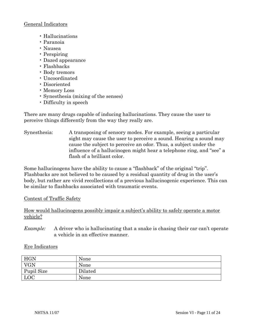#### General Indicators

- Hallucinations
- Paranoia
- Nausea
- Perspiring
- Dazed appearance
- Flashbacks
- Body tremors
- Uncoordinated
- Disoriented
- Memory Loss
- Synesthesia (mixing of the senses)
- Difficulty in speech

There are many drugs capable of inducing hallucinations. They cause the user to perceive things differently from the way they really are.

Synesthesia: A transposing of sensory modes. For example, seeing a particular sight may cause the user to perceive a sound. Hearing a sound may cause the subject to perceive an odor. Thus, a subject under the influence of a hallucinogen might hear a telephone ring, and "see" a flash of a brilliant color.

Some hallucinogens have the ability to cause a "flashback" of the original "trip". Flashbacks are not believed to be caused by a residual quantity of drug in the user's body, but rather are vivid recollections of a previous hallucinogenic experience. This can be similar to flashbacks associated with traumatic events.

Context of Traffic Safety

How would hallucinogens possibly impair a subject's ability to safely operate a motor vehicle?

*Example:* A driver who is hallucinating that a snake is chasing their car can't operate a vehicle in an effective manner.

#### Eye Indicators

| <b>HGN</b> | None    |
|------------|---------|
| <b>VGN</b> | None    |
| Pupil Size | Dilated |
| <b>LOC</b> | None    |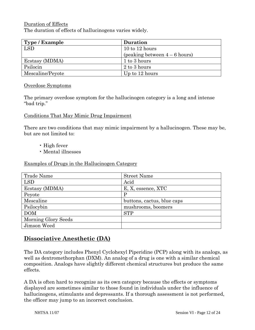#### Duration of Effects

The duration of effects of hallucinogens varies widely.

| Type / Example   | <b>Duration</b>               |
|------------------|-------------------------------|
| <b>LSD</b>       | 10 to 12 hours                |
|                  | (peaking between $4-6$ hours) |
| Ecstasy (MDMA)   | 1 to 3 hours                  |
| Psilocin         | 2 to 3 hours                  |
| Mescaline/Peyote | Up to 12 hours                |

#### Overdose Symptoms

The primary overdose symptom for the hallucinogen category is a long and intense "bad trip."

#### Conditions That May Mimic Drug Impairment

There are two conditions that may mimic impairment by a hallucinogen. These may be, but are not limited to:

- High fever
- Mental illnesses

Examples of Drugs in the Hallucinogen Category

| Trade Name          | <b>Street Name</b>         |
|---------------------|----------------------------|
| <b>LSD</b>          | Acid                       |
| Ecstasy (MDMA)      | E, X, essence, XTC         |
| Peyote              | P                          |
| Mescaline           | buttons, cactus, blue caps |
| Psilocybin          | mushrooms, boomers         |
| <b>DOM</b>          | <b>STP</b>                 |
| Morning Glory Seeds |                            |
| Jimson Weed         |                            |

### **Dissociative Anesthetic (DA)**

The DA category includes Phenyl Cyclohexyl Piperidine (PCP) along with its analogs, as well as dextromethorphan (DXM). An analog of a drug is one with a similar chemical composition. Analogs have slightly different chemical structures but produce the same effects.

A DA is often hard to recognize as its own category because the effects or symptoms displayed are sometimes similar to those found in individuals under the influence of hallucinogens, stimulants and depressants. If a thorough assessment is not performed, the officer may jump to an incorrect conclusion.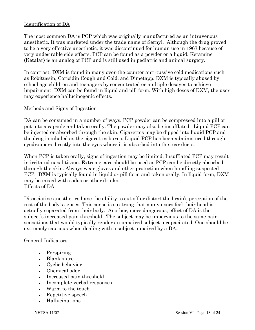#### Identification of DA

The most common DA is PCP which was originally manufactured as an intravenous anesthetic. It was marketed under the trade name of Sernyl. Although the drug proved to be a very effective anesthetic, it was discontinued for human use in 1967 because of very undesirable side effects. PCP can be found as a powder or a liquid. Ketamine (Ketalar) is an analog of PCP and is still used in pediatric and animal surgery.

In contrast, DXM is found in many over-the-counter anti-tussive cold medications such as Robitussin, Coricidin Cough and Cold, and Dimetapp. DXM is typically abused by school age children and teenagers by concentrated or multiple dosages to achieve impairment. DXM can be found in liquid and pill form. With high doses of DXM, the user may experience hallucinogenic effects.

#### Methods and Signs of Ingestion

DA can be consumed in a number of ways. PCP powder can be compressed into a pill or put into a capsule and taken orally. The powder may also be insufflated. Liquid PCP can be injected or absorbed through the skin. Cigarettes may be dipped into liquid PCP and the drug is inhaled as the cigarettes burns. Liquid PCP has been administered through eyedroppers directly into the eyes where it is absorbed into the tear ducts.

When PCP is taken orally, signs of ingestion may be limited. Insufflated PCP may result in irritated nasal tissue. Extreme care should be used as PCP can be directly absorbed through the skin. Always wear gloves and other protection when handling suspected PCP. DXM is typically found in liquid or pill form and taken orally. In liquid form, DXM may be mixed with sodas or other drinks. Effects of DA

Dissociative anesthetics have the ability to cut off or distort the brain's perception of the rest of the body's senses. This sense is so strong that many users feel their head is actually separated from their body. Another, more dangerous, effect of DA is the subject's increased pain threshold. The subject may be impervious to the same pain sensations that would typically render an impaired subject incapacitated. One should be extremely cautious when dealing with a subject impaired by a DA.

#### General Indicators:

- Perspiring
- Blank stare
- Cyclic behavior
- Chemical odor
- Increased pain threshold
- Incomplete verbal responses
- Warm to the touch
- Repetitive speech
- Hallucinations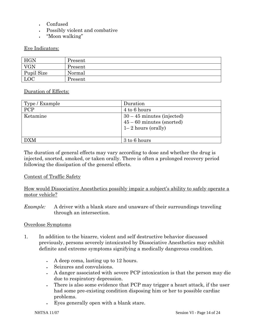- Confused
- Possibly violent and combative
- "Moon walking"

#### Eye Indicators:

| HGN        | Present |
|------------|---------|
| <b>VGN</b> | Present |
| Pupil Size | Normal  |
| LOC        | Present |

#### Duration of Effects:

| Type / Example | Duration                                                                            |
|----------------|-------------------------------------------------------------------------------------|
| <b>PCP</b>     | 4 to 6 hours                                                                        |
| Ketamine       | $30 - 45$ minutes (injected)<br>$45 - 60$ minutes (snorted)<br>$1-2$ hours (orally) |
| <b>DXM</b>     | 3 to 6 hours                                                                        |

The duration of general effects may vary according to dose and whether the drug is injected, snorted, smoked, or taken orally. There is often a prolonged recovery period following the dissipation of the general effects.

#### Context of Traffic Safety

How would Dissociative Anesthetics possibly impair a subject's ability to safely operate a motor vehicle?

*Example:* A driver with a blank stare and unaware of their surroundings traveling through an intersection.

#### Overdose Symptoms

- 1. In addition to the bizarre, violent and self destructive behavior discussed previously, persons severely intoxicated by Dissociative Anesthetics may exhibit definite and extreme symptoms signifying a medically dangerous condition.
	- A deep coma, lasting up to 12 hours.
	- Seizures and convulsions.
	- A danger associated with severe PCP intoxication is that the person may die due to respiratory depression.
	- There is also some evidence that PCP may trigger a heart attack, if the user had some pre-existing condition disposing him or her to possible cardiac problems.
	- Eyes generally open with a blank stare.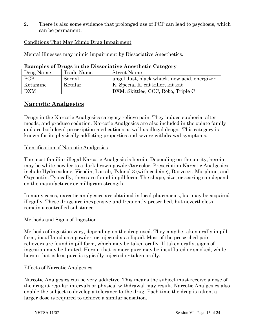2. There is also some evidence that prolonged use of PCP can lead to psychosis, which can be permanent.

Conditions That May Mimic Drug Impairment

Mental illnesses may mimic impairment by Dissociative Anesthetics.

| Drug Name  | Trade Name | <b>Street Name</b>                           |
|------------|------------|----------------------------------------------|
| <b>PCP</b> | Sernyl     | angel dust, black whack, new acid, energizer |
| Ketamine   | Ketalar    | K, Special K, cat killer, kit kat            |
| <b>DXM</b> |            | DXM, Skittles, CCC, Robo, Triple C           |

**Examples of Drugs in the Dissociative Anesthetic Category** 

## **Narcotic Analgesics**

Drugs in the Narcotic Analgesics category relieve pain. They induce euphoria, alter moods, and produce sedation. Narcotic Analgesics are also included in the opiate family and are both legal prescription medications as well as illegal drugs. This category is known for its physically addicting properties and severe withdrawal symptoms.

#### Identification of Narcotic Analgesics

The most familiar illegal Narcotic Analgesic is heroin. Depending on the purity, heroin may be white powder to a dark brown powder/tar color. Prescription Narcotic Analgesics include Hydrocodone, Vicodin, Lortab, Tylenol 3 (with codeine), Darvocet, Morphine, and Oxycontin. Typically, these are found in pill form. The shape, size, or scoring can depend on the manufacturer or milligram strength.

In many cases, narcotic analgesics are obtained in local pharmacies, but may be acquired illegally. These drugs are inexpensive and frequently prescribed, but nevertheless remain a controlled substance.

#### Methods and Signs of Ingestion

Methods of ingestion vary, depending on the drug used. They may be taken orally in pill form, insufflated as a powder, or injected as a liquid. Most of the prescribed pain relievers are found in pill form, which may be taken orally. If taken orally, signs of ingestion may be limited. Heroin that is more pure may be insufflated or smoked, while heroin that is less pure is typically injected or taken orally.

#### Effects of Narcotic Analgesics

Narcotic Analgesics can be very addictive. This means the subject must receive a dose of the drug at regular intervals or physical withdrawal may result. Narcotic Analgesics also enable the subject to develop a tolerance to the drug. Each time the drug is taken, a larger dose is required to achieve a similar sensation.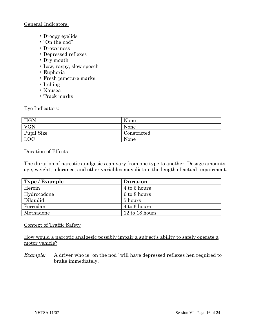#### General Indicators:

- Droopy eyelids
- "On the nod"
- Drowsiness
- Depressed reflexes
- Dry mouth
- Low, raspy, slow speech
- Euphoria
- Fresh puncture marks
- Itching
- Nausea
- Track marks

#### Eye Indicators:

| <b>HGN</b> | None        |
|------------|-------------|
| <b>VGN</b> | None        |
| Pupil Size | Constricted |
| <b>LOC</b> | None        |

#### Duration of Effects

The duration of narcotic analgesics can vary from one type to another. Dosage amounts, age, weight, tolerance, and other variables may dictate the length of actual impairment.

| Type / Example | <b>Duration</b> |
|----------------|-----------------|
| Heroin         | 4 to 6 hours    |
| Hydrocodone    | 6 to 8 hours    |
| Dilaudid       | 5 hours         |
| Percodan       | 4 to 6 hours    |
| Methadone      | 12 to 18 hours  |

#### Context of Traffic Safety

How would a narcotic analgesic possibly impair a subject's ability to safely operate a motor vehicle?

*Example:* A driver who is "on the nod" will have depressed reflexes hen required to brake immediately.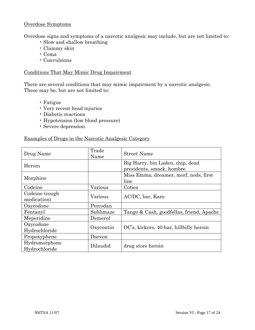#### Overdose Symptoms

Overdose signs and symptoms of a narcotic analgesic may include, but are not limited to:

- Slow and shallow breathing
- Clammy skin
- Coma
- Convulsions

#### Conditions That May Mimic Drug Impairment

There are several conditions that may mimic impairment by a narcotic analgesic. These may be, but are not limited to:

- Fatigue
- Very recent head injuries
- Diabetic reactions
- Hypotension (low blood pressure)
- Severe depression

#### Examples of Drugs in the Narcotic Analgesic Category

| Drug Name                      | Trade<br>Name | <b>Street Name</b>                                            |
|--------------------------------|---------------|---------------------------------------------------------------|
| Heroin                         |               | Big Harry, bin Laden, chip, dead<br>presidents, smack, hombre |
| Morphine                       |               | Miss Emma, dreamer, morf, nods, first<br>line                 |
| Codeine                        | Various       | Coties                                                        |
| Codeine (cough)<br>medication) | Various       | AC/DC, bar, Karo                                              |
| Oxycodone                      | Percodan      |                                                               |
| Fentanyl                       | Sublimaze     | Tango & Cash, goodfellas, friend, Apache                      |
| Meperidine                     | Demerol       |                                                               |
| Oxycodone<br>Hydrochloride     | Oxycontin     | OC's, kickers, 40-bar, hillbilly heroin                       |
| Propoxyphene                   | Darvon        |                                                               |
| Hydromorphone<br>Hydrochloride | Dilaudid      | drug store heroin                                             |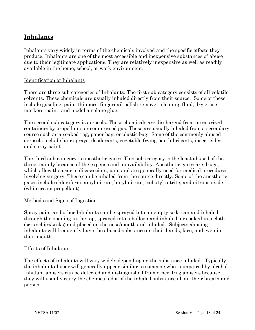## **Inhalants**

Inhalants vary widely in terms of the chemicals involved and the specific effects they produce. Inhalants are one of the most accessible and inexpensive substances of abuse due to their legitimate applications. They are relatively inexpensive as well as readily available in the home, school, or work environment.

#### Identification of Inhalants

There are three sub-categories of Inhalants. The first sub-category consists of all volatile solvents. These chemicals are usually inhaled directly from their source. Some of these include gasoline, paint thinners, fingernail polish remover, cleaning fluid, dry erase markers, paint, and model airplane glue.

The second sub-category is aerosols. These chemicals are discharged from pressurized containers by propellants or compressed gas. These are usually inhaled from a secondary source such as a soaked rag, paper bag, or plastic bag. Some of the commonly abused aerosols include hair sprays, deodorants, vegetable frying pan lubricants, insecticides, and spray paint.

The third sub-category is anesthetic gases. This sub-category is the least abused of the three, mainly because of the expense and unavailability. Anesthetic gases are drugs, which allow the user to disassociate, pain and are generally used for medical procedures involving surgery. These can be inhaled from the source directly. Some of the anesthetic gases include chloroform, amyl nitrite, butyl nitrite, isobutyl nitrite, and nitrous oxide (whip cream propellant).

#### Methods and Signs of Ingestion

Spray paint and other Inhalants can be sprayed into an empty soda can and inhaled through the opening in the top, sprayed into a balloon and inhaled, or soaked in a cloth (scrunchies/socks) and placed on the nose/mouth and inhaled. Subjects abusing inhalants will frequently have the abused substance on their hands, face, and even in their mouth.

#### Effects of Inhalants

The effects of inhalants will vary widely depending on the substance inhaled. Typically the inhalant abuser will generally appear similar to someone who is impaired by alcohol. Inhalant abusers can be detected and distinguished from other drug abusers because they will usually carry the chemical odor of the inhaled substance about their breath and person.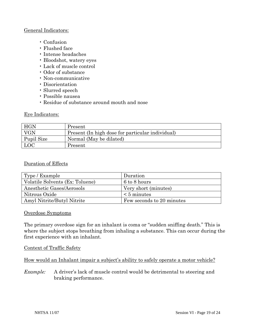#### General Indicators:

- Confusion
- Flushed face
- Intense headaches
- Bloodshot, watery eyes
- Lack of muscle control
- Odor of substance
- Non-communicative
- Disorientation
- Slurred speech
- Possible nausea
- Residue of substance around mouth and nose

#### Eye Indicators:

| HGN        | Present                                          |
|------------|--------------------------------------------------|
| VGN        | Present (In high dose for particular individual) |
| Pupil Size | Normal (May be dilated)                          |
| LOC        | Present                                          |

#### Duration of Effects

| Type / Example                  | Duration                  |
|---------------------------------|---------------------------|
| Volatile Solvents (Ex: Toluene) | 6 to 8 hours              |
| Anesthetic Gases/Aerosols       | Very short (minutes)      |
| Nitrous Oxide                   | $\leq 5$ minutes          |
| Amyl Nitrite/Butyl Nitrite      | Few seconds to 20 minutes |

#### Overdose Symptoms

The primary overdose sign for an inhalant is coma or "sudden sniffing death." This is where the subject stops breathing from inhaling a substance. This can occur during the first experience with an inhalant.

#### Context of Traffic Safety

How would an Inhalant impair a subject's ability to safely operate a motor vehicle?

*Example:* A driver's lack of muscle control would be detrimental to steering and braking performance.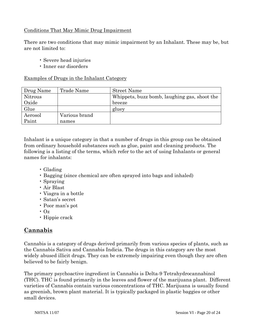#### Conditions That May Mimic Drug Impairment

There are two conditions that may mimic impairment by an Inhalant. These may be, but are not limited to:

- Severe head injuries
- Inner ear disorders

#### Examples of Drugs in the Inhalant Category

| Drug Name | Trade Name    | <b>Street Name</b>                           |
|-----------|---------------|----------------------------------------------|
| Nitrous   |               | Whippets, buzz bomb, laughing gas, shoot the |
| Oxide     |               | breeze                                       |
| Glue      |               | gluey                                        |
| Aerosol   | Various brand |                                              |
| Paint     | names         |                                              |

Inhalant is a unique category in that a number of drugs in this group can be obtained from ordinary household substances such as glue, paint and cleaning products. The following is a listing of the terms, which refer to the act of using Inhalants or general names for inhalants:

- Glading
- Bagging (since chemical are often sprayed into bags and inhaled)
- Spraying
- Air Blast
- Viagra in a bottle
- Satan's secret
- Poor man's pot
- $\cdot$  Oz
- Hippie crack

## **Cannabis**

Cannabis is a category of drugs derived primarily from various species of plants, such as the Cannabis Sativa and Cannabis Indicia. The drugs in this category are the most widely abused illicit drugs. They can be extremely impairing even though they are often believed to be fairly benign.

The primary psychoactive ingredient in Cannabis is Delta-9 Tetrahydrocannabinol (THC). THC is found primarily in the leaves and flower of the marijuana plant. Different varieties of Cannabis contain various concentrations of THC. Marijuana is usually found as greenish, brown plant material. It is typically packaged in plastic baggies or other small devices.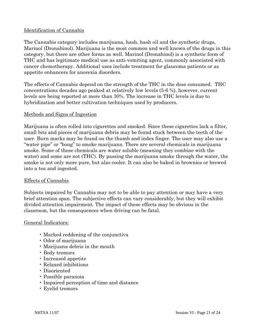#### Identification of Cannabis

The Cannabis category includes marijuana, hash, hash oil and the synthetic drugs, Marinol (Dronabinol). Marijuana is the most common and well known of the drugs in this category, but there are other forms as well. Marinol (Dronabinol) is a synthetic form of THC and has legitimate medical use as anti-vomiting agent, commonly associated with cancer chemotherapy. Additional uses include treatment for glaucoma patients or as appetite enhancers for anorexia disorders.

The effects of Cannabis depend on the strength of the THC in the dose consumed. THC concentrations decades ago peaked at relatively low levels (3-6 %), however, current levels are being reported at more than 30%. The increase in THC levels is due to hybridization and better cultivation techniques used by producers.

#### Methods and Signs of Ingestion

Marijuana is often rolled into cigarettes and smoked. Since these cigarettes lack a filter, small bits and pieces of marijuana debris may be found stuck between the teeth of the user. Burn marks may be found on the thumb and index finger. The user may also use a "water pipe" or "bong" to smoke marijuana. There are several chemicals in marijuana smoke. Some of these chemicals are water soluble (meaning they combine with the water) and some are not (THC). By passing the marijuana smoke through the water, the smoke is not only more pure, but also cooler. It can also be baked in brownies or brewed into a tea and ingested.

#### Effects of Cannabis

Subjects impaired by Cannabis may not to be able to pay attention or may have a very brief attention span. The subjective effects can vary considerably, but they will exhibit divided attention impairment. The impact of these effects may be obvious in the classroom, but the consequences when driving can be fatal.

#### General Indicators:

- Marked reddening of the conjunctiva
- Odor of marijuana
- Marijuana debris in the mouth
- Body tremors
- Increased appetite
- Relaxed inhibitions
- Disoriented
- Possible paranoia
- Impaired perception of time and distance
- Eyelid tremors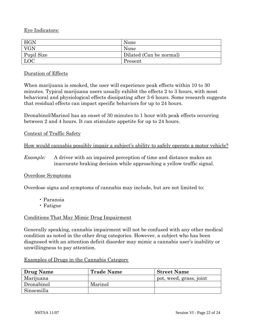Eye Indicators:

| HGN        | None                    |
|------------|-------------------------|
| <b>VGN</b> | None                    |
| Pupil Size | Dilated (Can be normal) |
| LOC        | Present                 |

Duration of Effects

When marijuana is smoked, the user will experience peak effects within 10 to 30 minutes. Typical marijuana users usually exhibit the effects 2 to 3 hours, with most behavioral and physiological effects dissipating after 3-6 hours. Some research suggests that residual effects can impact specific behaviors for up to 24 hours.

Dronabinol/Marinol has an onset of 30 minutes to 1 hour with peak effects occurring between 2 and 4 hours. It can stimulate appetite for up to 24 hours.

#### Context of Traffic Safety

How would cannabis possibly impair a subject's ability to safely operate a motor vehicle?

*Example:* A driver with an impaired perception of time and distance makes an inaccurate braking decision while approaching a yellow traffic signal.

#### Overdose Symptoms

Overdose signs and symptoms of cannabis may include, but are not limited to:

- Paranoia
- Fatigue

#### Conditions That May Mimic Drug Impairment

Generally speaking, cannabis impairment will not be confused with any other medical condition as noted in the other drug categories. However, a subject who has been diagnosed with an attention deficit disorder may mimic a cannabis user's inability or unwillingness to pay attention.

| Examples of Drugs in the Cannabis Category |  |
|--------------------------------------------|--|
|--------------------------------------------|--|

| <b>Drug Name</b> | <b>Trade Name</b> | <b>Street Name</b>      |
|------------------|-------------------|-------------------------|
| Marijuana        |                   | pot, weed, grass, joint |
| Dronabinol       | Marinol           |                         |
| Sinsemilla       |                   |                         |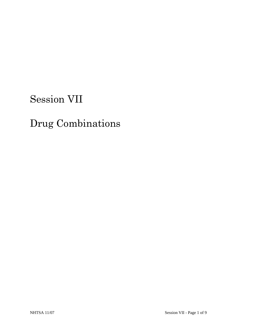# Session VII

# Drug Combinations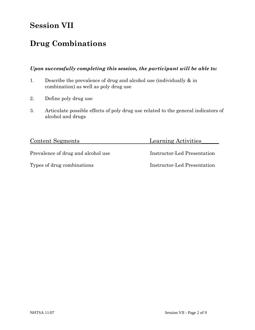# **Session VII**

# **Drug Combinations**

#### *Upon successfully completing this session, the participant will be able to:*

- 1. Describe the prevalence of drug and alcohol use (individually & in combination) as well as poly drug use
- 2. Define poly drug use
- 3. Articulate possible effects of poly drug use related to the general indicators of alcohol and drugs

| <b>Content Segments</b>            | Learning Activities         |
|------------------------------------|-----------------------------|
| Prevalence of drug and alcohol use | Instructor-Led Presentation |
| Types of drug combinations         | Instructor-Led Presentation |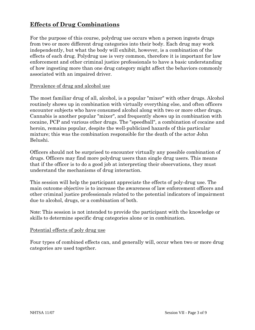# **Effects of Drug Combinations**

For the purpose of this course, polydrug use occurs when a person ingests drugs from two or more different drug categories into their body. Each drug may work independently, but what the body will exhibit, however, is a combination of the effects of each drug. Polydrug use is very common, therefore it is important for law enforcement and other criminal justice professionals to have a basic understanding of how ingesting more than one drug category might affect the behaviors commonly associated with an impaired driver.

#### Prevalence of drug and alcohol use

The most familiar drug of all, alcohol, is a popular "mixer" with other drugs. Alcohol routinely shows up in combination with virtually everything else, and often officers encounter subjects who have consumed alcohol along with two or more other drugs. Cannabis is another popular "mixer", and frequently shows up in combination with cocaine, PCP and various other drugs. The "speedball", a combination of cocaine and heroin, remains popular, despite the well-publicized hazards of this particular mixture; this was the combination responsible for the death of the actor John Belushi.

Officers should not be surprised to encounter virtually any possible combination of drugs. Officers may find more polydrug users than single drug users. This means that if the officer is to do a good job at interpreting their observations, they must understand the mechanisms of drug interaction.

This session will help the participant appreciate the effects of poly-drug use. The main outcome objective is to increase the awareness of law enforcement officers and other criminal justice professionals related to the potential indicators of impairment due to alcohol, drugs, or a combination of both.

Note: This session is not intended to provide the participant with the knowledge or skills to determine specific drug categories alone or in combination.

#### Potential effects of poly drug use

Four types of combined effects can, and generally will, occur when two or more drug categories are used together.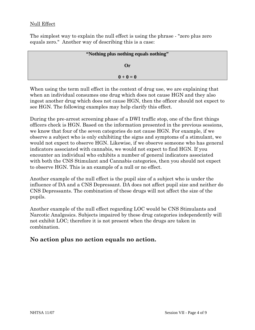#### Null Effect

The simplest way to explain the null effect is using the phrase - "zero plus zero equals zero." Another way of describing this is a case:

| "Nothing plus nothing equals nothing" |  |
|---------------------------------------|--|
| Or                                    |  |
| $0 + 0 = 0$                           |  |

When using the term null effect in the context of drug use, we are explaining that when an individual consumes one drug which does not cause HGN and they also ingest another drug which does not cause HGN, then the officer should not expect to see HGN. The following examples may help clarify this effect.

During the pre-arrest screening phase of a DWI traffic stop, one of the first things officers check is HGN. Based on the information presented in the previous sessions, we know that four of the seven categories do not cause HGN. For example, if we observe a subject who is only exhibiting the signs and symptoms of a stimulant, we would not expect to observe HGN. Likewise, if we observe someone who has general indicators associated with cannabis, we would not expect to find HGN. If you encounter an individual who exhibits a number of general indicators associated with both the CNS Stimulant and Cannabis categories, then you should not expect to observe HGN. This is an example of a null or no effect.

Another example of the null effect is the pupil size of a subject who is under the influence of DA and a CNS Depressant. DA does not affect pupil size and neither do CNS Depressants. The combination of these drugs will not affect the size of the pupils.

Another example of the null effect regarding LOC would be CNS Stimulants and Narcotic Analgesics. Subjects impaired by these drug categories independently will not exhibit LOC; therefore it is not present when the drugs are taken in combination.

#### **No action plus no action equals no action.**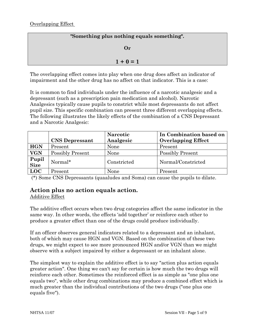#### **"Something plus nothing equals something".**

#### **Or**

#### $1 + 0 = 1$

The overlapping effect comes into play when one drug does affect an indicator of impairment and the other drug has no affect on that indicator. This is a case:

It is common to find individuals under the influence of a narcotic analgesic and a depressant (such as a prescription pain medication and alcohol). Narcotic Analgesics typically cause pupils to constrict while most depressants do not affect pupil size. This specific combination can present three different overlapping effects. The following illustrates the likely effects of the combination of a CNS Depressant and a Narcotic Analgesic:

|               |                       | <b>Narcotic</b> | In Combination based on   |
|---------------|-----------------------|-----------------|---------------------------|
|               | <b>CNS Depressant</b> | Analgesic       | <b>Overlapping Effect</b> |
| <b>HGN</b>    | Present               | None            | Present                   |
| <b>VGN</b>    | Possibly Present      | None            | <b>Possibly Present</b>   |
| Pupil<br>Size | Normal*               | Constricted     | Normal/Constricted        |
| <b>LOC</b>    | Present               | None            | Present                   |

(\*) Some CNS Depressants (quaaludes and Soma) can cause the pupils to dilate.

#### **Action plus no action equals action.**

Additive Effect

The additive effect occurs when two drug categories affect the same indicator in the same way. In other words, the effects 'add together' or reinforce each other to produce a greater effect than one of the drugs could produce individually.

If an officer observes general indicators related to a depressant and an inhalant, both of which may cause HGN and VGN. Based on the combination of these two drugs, we might expect to see more pronounced HGN and/or VGN than we might observe with a subject impaired by either a depressant or an inhalant alone.

The simplest way to explain the additive effect is to say "action plus action equals greater action". One thing we can't say for certain is how much the two drugs will reinforce each other. Sometimes the reinforced effect is as simple as "one plus one equals two", while other drug combinations may produce a combined effect which is much greater than the individual contributions of the two drugs ("one plus one equals five").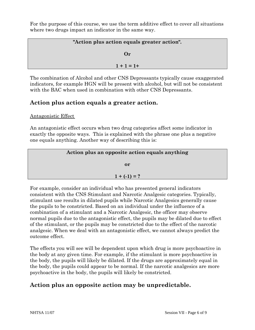For the purpose of this course, we use the term additive effect to cover all situations where two drugs impact an indicator in the same way.

| "Action plus action equals greater action". |  |
|---------------------------------------------|--|
| (r)                                         |  |
| $1 + 1 = 1 +$                               |  |

The combination of Alcohol and other CNS Depressants typically cause exaggerated indicators, for example HGN will be present with alcohol, but will not be consistent with the BAC when used in combination with other CNS Depressants.

## **Action plus action equals a greater action.**

Antagonistic Effect

An antagonistic effect occurs when two drug categories affect some indicator in exactly the opposite ways. This is explained with the phrase one plus a negative one equals anything. Another way of describing this is:



For example, consider an individual who has presented general indicators consistent with the CNS Stimulant and Narcotic Analgesic categories. Typically, stimulant use results in dilated pupils while Narcotic Analgesics generally cause the pupils to be constricted. Based on an individual under the influence of a combination of a stimulant and a Narcotic Analgesic, the officer may observe normal pupils due to the antagonistic effect, the pupils may be dilated due to effect of the stimulant, or the pupils may be constricted due to the effect of the narcotic analgesic. When we deal with an antagonistic effect, we cannot always predict the outcome effect.

The effects you will see will be dependent upon which drug is more psychoactive in the body at any given time. For example, if the stimulant is more psychoactive in the body, the pupils will likely be dilated. If the drugs are approximately equal in the body, the pupils could appear to be normal. If the narcotic analgesics are more psychoactive in the body, the pupils will likely be constricted.

## **Action plus an opposite action may be unpredictable.**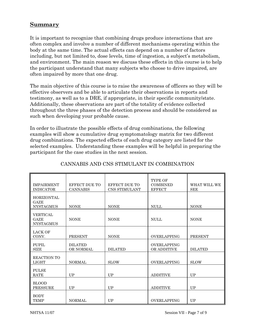### **Summary**

It is important to recognize that combining drugs produce interactions that are often complex and involve a number of different mechanisms operating within the body at the same time. The actual effects can depend on a number of factors including, but not limited to, dose levels, time of ingestion, a subject's metabolism, and environment. The main reason we discuss these effects in this course is to help the participant understand that many subjects who choose to drive impaired, are often impaired by more that one drug.

The main objective of this course is to raise the awareness of officers so they will be effective observers and be able to articulate their observations in reports and testimony, as well as to a DRE, if appropriate, in their specific community/state. Additionally, these observations are part of the totality of evidence collected throughout the three phases of the detection process and should be considered as such when developing your probable cause.

In order to illustrate the possible effects of drug combinations, the following examples will show a cumulative drug symptomatology matrix for two different drug combinations. The expected effects of each drug category are listed for the selected examples. Understanding these examples will be helpful in preparing the participant for the case studies in the next session.

| <b>IMPAIRMENT</b><br><b>INDICATOR</b>         | EFFECT DUE TO<br><b>CANNABIS</b>   | EFFECT DUE TO<br>CNS STIMULANT | <b>TYPE OF</b><br><b>COMBINED</b><br><b>EFFECT</b> | WHAT WILL WE<br><b>SEE</b> |
|-----------------------------------------------|------------------------------------|--------------------------------|----------------------------------------------------|----------------------------|
| <b>HORIZONTAL</b><br>GAZE<br><b>NYSTAGMUS</b> | <b>NONE</b>                        | <b>NONE</b>                    | <b>NULL</b>                                        | <b>NONE</b>                |
| VERTICAL<br>GAZE<br><b>NYSTAGMUS</b>          | <b>NONE</b>                        | <b>NONE</b>                    | <b>NULL</b>                                        | <b>NONE</b>                |
| <b>LACK OF</b><br>CONV.                       | <b>PRESENT</b>                     | <b>NONE</b>                    | <b>OVERLAPPING</b>                                 | <b>PRESENT</b>             |
| PUPIL<br><b>SIZE</b>                          | <b>DILATED</b><br><b>OR NORMAL</b> | <b>DILATED</b>                 | <b>OVERLAPPING</b><br><b>OR ADDITIVE</b>           | <b>DILATED</b>             |
| <b>REACTION TO</b><br>LIGHT                   | <b>NORMAL</b>                      | <b>SLOW</b>                    | <b>OVERLAPPING</b>                                 | <b>SLOW</b>                |
| <b>PULSE</b><br><b>RATE</b>                   | <b>UP</b>                          | <b>I</b> IP                    | <b>ADDITIVE</b>                                    | UP                         |
| <b>BLOOD</b><br><b>PRESSURE</b>               | UP                                 | UP                             | <b>ADDITIVE</b>                                    | <b>UP</b>                  |
| <b>BODY</b><br><b>TEMP</b>                    | <b>NORMAL</b>                      | UP                             | <b>OVERLAPPING</b>                                 | <b>UP</b>                  |

#### CANNABIS AND CNS STIMULANT IN COMBINATION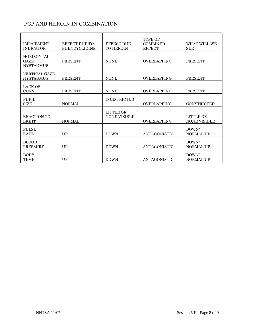### PCP AND HEROIN IN COMBINATION

| <b>IMPAIRMENT</b><br><b>INDICATOR</b>                | EFFECT DUE TO<br>PHENCYCLIDINE | <b>EFFECT DUE</b><br><b>TO HEROIN</b>   | <b>TYPE OF</b><br><b>COMBINED</b><br><b>EFFECT</b> | WHAT WILL WE<br><b>SEE</b>       |
|------------------------------------------------------|--------------------------------|-----------------------------------------|----------------------------------------------------|----------------------------------|
| <b>HORIZONTAL</b><br><b>GAZE</b><br><b>NYSTAGMUS</b> | <b>PRESENT</b>                 | <b>NONE</b>                             | <b>OVERLAPPING</b>                                 | <b>PRESENT</b>                   |
| <b>VERTICAL GAZE</b><br><b>NYSTAGMUS</b>             | <b>PRESENT</b>                 | <b>NONE</b>                             | <b>OVERLAPPING</b>                                 | <b>PRESENT</b>                   |
| <b>LACK OF</b><br>CONV.                              | <b>PRESENT</b>                 | <b>NONE</b>                             | <b>OVERLAPPING</b>                                 | <b>PRESENT</b>                   |
| PUPIL<br><b>SIZE</b>                                 | <b>NORMAL</b>                  | CONSTRICTED                             | <b>OVERLAPPING</b>                                 | <b>CONSTRICTED</b>               |
| <b>REACTION TO</b><br>LIGHT                          | <b>NORMAL</b>                  | <b>LITTLE OR</b><br><b>NONE VISIBLE</b> | <b>OVERLAPPING</b>                                 | LITTLE OR<br><b>NONE VISIBLE</b> |
| <b>PULSE</b><br><b>RATE</b>                          | UP                             | <b>DOWN</b>                             | ANTAGONISTIC                                       | DOWN/<br>NORMAL/UP               |
| <b>BLOOD</b><br><b>PRESSURE</b>                      | UP                             | <b>DOWN</b>                             | ANTAGONISTIC                                       | DOWN/<br>NORMAL/UP               |
| <b>BODY</b><br><b>TEMP</b>                           | UP                             | <b>DOWN</b>                             | ANTAGONISTIC                                       | DOWN/<br>NORMAL/UP               |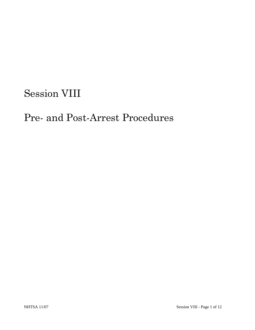# Session VIII

# Pre- and Post-Arrest Procedures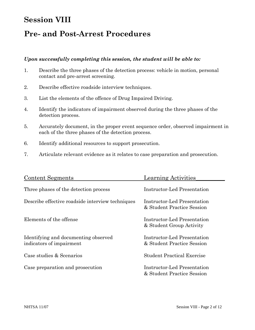# **Session VIII**

# **Pre- and Post-Arrest Procedures**

#### *Upon successfully completing this session, the student will be able to:*

- 1. Describe the three phases of the detection process: vehicle in motion, personal contact and pre-arrest screening.
- 2. Describe effective roadside interview techniques.
- 3. List the elements of the offence of Drug Impaired Driving.
- 4. Identify the indicators of impairment observed during the three phases of the detection process.
- 5. Accurately document, in the proper event sequence order, observed impairment in each of the three phases of the detection process.
- 6. Identify additional resources to support prosecution.
- 7. Articulate relevant evidence as it relates to case preparation and prosecution.

| <b>Content Segments</b>                                          | Learning Activities                                       |
|------------------------------------------------------------------|-----------------------------------------------------------|
| Three phases of the detection process                            | Instructor-Led Presentation                               |
| Describe effective roadside interview techniques                 | Instructor-Led Presentation<br>& Student Practice Session |
| Elements of the offense                                          | Instructor-Led Presentation<br>& Student Group Activity   |
| Identifying and documenting observed<br>indicators of impairment | Instructor-Led Presentation<br>& Student Practice Session |
| Case studies & Scenarios                                         | <b>Student Practical Exercise</b>                         |
| Case preparation and prosecution                                 | Instructor-Led Presentation<br>& Student Practice Session |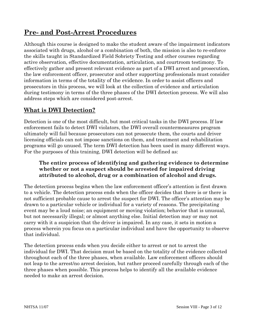# **Pre- and Post-Arrest Procedures**

Although this course is designed to make the student aware of the impairment indicators associated with drugs, alcohol or a combination of both, the mission is also to re-enforce the skills taught in Standardized Field Sobriety Testing and other courses regarding active observation, effective documentation, articulation, and courtroom testimony. To effectively gather and present relevant evidence as part of a DWI arrest and prosecution, the law enforcement officer, prosecutor and other supporting professionals must consider information in terms of the totality of the evidence. In order to assist officers and prosecutors in this process, we will look at the collection of evidence and articulation during testimony in terms of the three phases of the DWI detection process. We will also address steps which are considered post-arrest.

#### **What is DWI Detection?**

Detection is one of the most difficult, but most critical tasks in the DWI process. If law enforcement fails to detect DWI violators, the DWI overall countermeasures program ultimately will fail because prosecutors can not prosecute them, the courts and driver licensing officials can not impose sanctions on them, and treatment and rehabilitation programs will go unused. The term DWI detection has been used in many different ways. For the purposes of this training, DWI detection will be defined as:

#### **The entire process of identifying and gathering evidence to determine whether or not a suspect should be arrested for impaired driving attributed to alcohol, drug or a combination of alcohol and drugs.**

The detection process begins when the law enforcement officer's attention is first drawn to a vehicle. The detection process ends when the officer decides that there is or there is not sufficient probable cause to arrest the suspect for DWI. The officer's attention may be drawn to a particular vehicle or individual for a variety of reasons. The precipitating event may be a loud noise; an equipment or moving violation; behavior that is unusual, but not necessarily illegal; or almost anything else. Initial detection may or may not carry with it a suspicion that the driver is impaired. In any case, it sets in motion a process wherein you focus on a particular individual and have the opportunity to observe that individual.

The detection process ends when you decide either to arrest or not to arrest the individual for DWI. That decision must be based on the totality of the evidence collected throughout each of the three phases, when available. Law enforcement officers should not leap to the arrest/no arrest decision, but rather proceed carefully through each of the three phases when possible. This process helps to identify all the available evidence needed to make an arrest decision.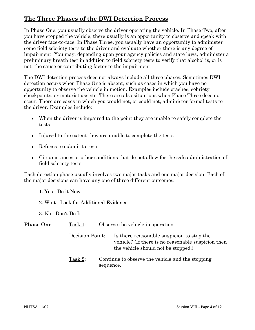# **The Three Phases of the DWI Detection Process**

In Phase One, you usually observe the driver operating the vehicle. In Phase Two, after you have stopped the vehicle, there usually is an opportunity to observe and speak with the driver face-to-face. In Phase Three, you usually have an opportunity to administer some field sobriety tests to the driver and evaluate whether there is any degree of impairment. You may, depending upon your agency policies and state laws, administer a preliminary breath test in addition to field sobriety tests to verify that alcohol is, or is not, the cause or contributing factor to the impairment.

The DWI detection process does not always include all three phases. Sometimes DWI detection occurs when Phase One is absent, such as cases in which you have no opportunity to observe the vehicle in motion. Examples include crashes, sobriety checkpoints, or motorist assists. There are also situations when Phase Three does not occur. There are cases in which you would not, or could not, administer formal tests to the driver. Examples include:

- When the driver is impaired to the point they are unable to safely complete the tests
- Injured to the extent they are unable to complete the tests
- Refuses to submit to tests
- Circumstances or other conditions that do not allow for the safe administration of field sobriety tests

Each detection phase usually involves two major tasks and one major decision. Each of the major decisions can have any one of three different outcomes:

- 1. Yes Do it Now
- 2. Wait Look for Additional Evidence
- 3. No Don't Do It

| <b>Phase One</b> | Task 1:         |           | Observe the vehicle in operation.                                                                                                      |
|------------------|-----------------|-----------|----------------------------------------------------------------------------------------------------------------------------------------|
|                  | Decision Point: |           | Is there reasonable suspicion to stop the<br>vehicle? (If there is no reasonable suspicion then<br>the vehicle should not be stopped.) |
|                  | Task 2:         | sequence. | Continue to observe the vehicle and the stopping                                                                                       |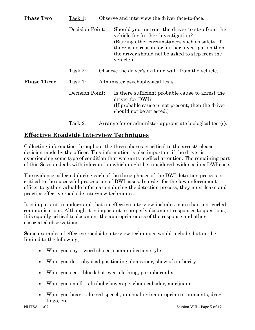| <b>Phase Two</b>   | Task 1:         | Observe and interview the driver face-to-face. |                                                                                                                                                                                                                                                               |  |  |
|--------------------|-----------------|------------------------------------------------|---------------------------------------------------------------------------------------------------------------------------------------------------------------------------------------------------------------------------------------------------------------|--|--|
|                    | Decision Point: |                                                | Should you instruct the driver to step from the<br>vehicle for further investigation?<br>(Barring other circumstances such as safety, if<br>there is no reason for further investigation then<br>the driver should not be asked to step from the<br>vehicle.) |  |  |
|                    | Task 2:         |                                                | Observe the driver's exit and walk from the vehicle.                                                                                                                                                                                                          |  |  |
| <b>Phase Three</b> | Task 1:         | Administer psychophysical tests.               |                                                                                                                                                                                                                                                               |  |  |
|                    | Decision Point: |                                                | Is there sufficient probable cause to arrest the<br>driver for DWI?<br>(If probable cause is not present, then the driver<br>should not be arrested.)                                                                                                         |  |  |
|                    | Task 2:         |                                                | Arrange for or administer appropriate biological test(s).                                                                                                                                                                                                     |  |  |

### **Effective Roadside Interview Techniques**

Collecting information throughout the three phases is critical to the arrest/release decision made by the officer. This information is also important if the driver is experiencing some type of condition that warrants medical attention. The remaining part of this Session deals with information which might be considered evidence in a DWI case.

The evidence collected during each of the three phases of the DWI detection process is critical to the successful prosecution of DWI cases. In order for the law enforcement officer to gather valuable information during the detection process, they must learn and practice effective roadside interview techniques.

It is important to understand that an effective interview includes more than just verbal communications. Although it is important to properly document responses to questions, it is equally critical to document the appropriateness of the response and other associated observations.

Some examples of effective roadside interview techniques would include, but not be limited to the following;

- What you say word choice, communication style
- What you do physical positioning, demeanor, show of authority
- What you see bloodshot eyes, clothing, paraphernalia
- What you smell alcoholic beverage, chemical odor, marijuana
- What you hear slurred speech, unusual or inappropriate statements, drug lingo, etc…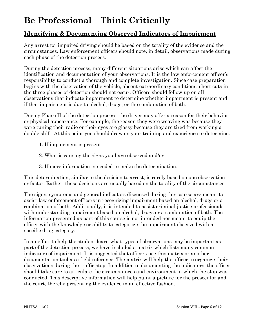# **Be Professional – Think Critically**

# **Identifying & Documenting Observed Indicators of Impairment**

Any arrest for impaired driving should be based on the totality of the evidence and the circumstances. Law enforcement officers should note, in detail, observations made during each phase of the detection process.

During the detection process, many different situations arise which can affect the identification and documentation of your observations. It is the law enforcement officer's responsibility to conduct a thorough and complete investigation. Since case preparation begins with the observation of the vehicle, absent extraordinary conditions, short cuts in the three phases of detection should not occur. Officers should follow-up on all observations that indicate impairment to determine whether impairment is present and if that impairment is due to alcohol, drugs, or the combination of both.

During Phase II of the detection process, the driver may offer a reason for their behavior or physical appearance. For example, the reason they were weaving was because they were tuning their radio or their eyes are glassy because they are tired from working a double shift. At this point you should draw on your training and experience to determine:

- 1. If impairment is present
- 2. What is causing the signs you have observed and/or
- 3. If more information is needed to make the determination.

This determination, similar to the decision to arrest, is rarely based on one observation or factor. Rather, these decisions are usually based on the totality of the circumstances.

The signs, symptoms and general indicators discussed during this course are meant to assist law enforcement officers in recognizing impairment based on alcohol, drugs or a combination of both. Additionally, it is intended to assist criminal justice professionals with understanding impairment based on alcohol, drugs or a combination of both. The information presented as part of this course is not intended nor meant to equip the officer with the knowledge or ability to categorize the impairment observed with a specific drug category.

In an effort to help the student learn what types of observations may be important as part of the detection process, we have included a matrix which lists many common indicators of impairment. It is suggested that officers use this matrix or another documentation tool as a field reference. The matrix will help the officer to organize their observations during the traffic stop. In addition to documenting the indicators, the officer should take care to articulate the circumstances and environment in which the stop was conducted. This descriptive information will help paint a picture for the prosecutor and the court, thereby presenting the evidence in an effective fashion.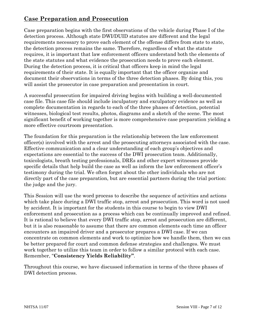# **Case Preparation and Prosecution**

Case preparation begins with the first observations of the vehicle during Phase I of the detection process. Although state DWI/DUID statutes are different and the legal requirements necessary to prove each element of the offense differs from state to state, the detection process remains the same. Therefore, regardless of what the statute requires, it is important that law enforcement officers understand both the elements of the state statutes and what evidence the prosecution needs to prove each element. During the detection process, it is critical that officers keep in mind the legal requirements of their state. It is equally important that the officer organize and document their observations in terms of the three detection phases. By doing this, you will assist the prosecutor in case preparation and presentation in court.

A successful prosecution for impaired driving begins with building a well-documented case file. This case file should include inculpatory and exculpatory evidence as well as complete documentation in regards to each of the three phases of detection, potential witnesses, biological test results, photos, diagrams and a sketch of the scene. The most significant benefit of working together is more comprehensive case preparation yielding a more effective courtroom presentation.

The foundation for this preparation is the relationship between the law enforcement officer(s) involved with the arrest and the prosecuting attorneys associated with the case. Effective communication and a clear understanding of each group's objectives and expectations are essential to the success of the DWI prosecution team. Additionally, toxicologists, breath testing professionals, DREs and other expert witnesses provide specific details that help build the case as well as inform the law enforcement officer's testimony during the trial. We often forget about the other individuals who are not directly part of the case preparation, but are essential partners during the trial portion: the judge and the jury.

This Session will use the word process to describe the sequence of activities and actions which take place during a DWI traffic stop, arrest and prosecution. This word is not used by accident. It is important for the students in this course to begin to view DWI enforcement and prosecution as a process which can be continually improved and refined. It is rational to believe that every DWI traffic stop, arrest and prosecution are different, but it is also reasonable to assume that there are common elements each time an officer encounters an impaired driver and a prosecutor prepares a DWI case. If we can concentrate on common elements and work to optimize how we handle them, then we can be better prepared for court and common defense strategies and challenges. We must work together to utilize this team in order to follow a similar protocol with each case. Remember, "**Consistency Yields Reliability"**.

Throughout this course, we have discussed information in terms of the three phases of DWI detection process.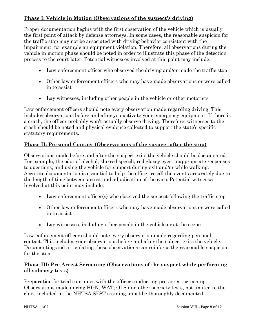#### **Phase I: Vehicle in Motion (Observations of the suspect's driving)**

Proper documentation begins with the first observation of the vehicle which is usually the first point of attack by defense attorneys. In some cases, the reasonable suspicion for the traffic stop may not be associated with driving behavior consistent with the impairment, for example an equipment violation. Therefore, all observations during the vehicle in motion phase should be noted in order to illustrate this phase of the detection process to the court later. Potential witnesses involved at this point may include:

- Law enforcement officer who observed the driving and/or made the traffic stop
- Other law enforcement officers who may have made observations or were called in to assist
- Lay witnesses, including other people in the vehicle or other motorists

Law enforcement officers should note every observation made regarding driving. This includes observations before and after you activate your emergency equipment. If there is a crash, the officer probably won't actually observe driving. Therefore, witnesses to the crash should be noted and physical evidence collected to support the state's specific statutory requirements.

#### **Phase II: Personal Contact (Observations of the suspect after the stop)**

Observations made before and after the suspect exits the vehicle should be documented. For example, the odor of alcohol, slurred speech, red glassy eyes, inappropriate responses to questions, and using the vehicle for support during exit and/or while walking. Accurate documentation is essential to help the officer recall the events accurately due to the length of time between arrest and adjudication of the case. Potential witnesses involved at this point may include:

- Law enforcement officer(s) who observed the suspect following the traffic stop
- Other law enforcement officers who may have made observations or were called in to assist
- Lay witnesses, including other people in the vehicle or at the scene

Law enforcement officers should note every observation made regarding personal contact. This includes your observations before and after the subject exits the vehicle. Documenting and articulating these observations can reinforce the reasonable suspicion for the stop.

#### **Phase III: Pre-Arrest Screening (Observations of the suspect while performing all sobriety tests)**

Preparation for trial continues with the officer conducting pre-arrest screening. Observations made during HGN, WAT, OLS and other sobriety tests, not limited to the clues included in the NHTSA SFST training, must be thoroughly documented.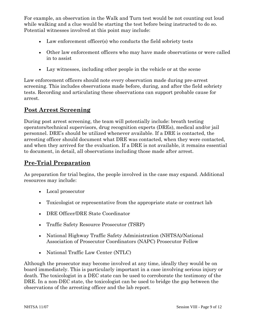For example, an observation in the Walk and Turn test would be not counting out loud while walking and a clue would be starting the test before being instructed to do so. Potential witnesses involved at this point may include:

- Law enforcement officer(s) who conducts the field sobriety tests
- Other law enforcement officers who may have made observations or were called in to assist
- Lay witnesses, including other people in the vehicle or at the scene

Law enforcement officers should note every observation made during pre-arrest screening. This includes observations made before, during, and after the field sobriety tests. Recording and articulating these observations can support probable cause for arrest.

#### **Post Arrest Screening**

During post arrest screening, the team will potentially include: breath testing operators/technical supervisors, drug recognition experts (DREs), medical and/or jail personnel. DRE's should be utilized whenever available. If a DRE is contacted, the arresting officer should document what DRE was contacted, when they were contacted, and when they arrived for the evaluation. If a DRE is not available, it remains essential to document, in detail, all observations including those made after arrest.

# **Pre-Trial Preparation**

As preparation for trial begins, the people involved in the case may expand. Additional resources may include:

- Local prosecutor
- Toxicologist or representative from the appropriate state or contract lab
- DRE Officer/DRE State Coordinator
- Traffic Safety Resource Prosecutor (TSRP)
- National Highway Traffic Safety Administration (NHTSA)/National Association of Prosecutor Coordinators (NAPC) Prosecutor Fellow
- National Traffic Law Center (NTLC)

Although the prosecutor may become involved at any time, ideally they would be on board immediately. This is particularly important in a case involving serious injury or death. The toxicologist in a DEC state can be used to corroborate the testimony of the DRE. In a non-DEC state, the toxicologist can be used to bridge the gap between the observations of the arresting officer and the lab report.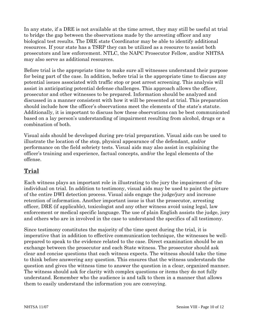In any state, if a DRE is not available at the time arrest, they may still be useful at trial to bridge the gap between the observations made by the arresting officer and any biological test results. The DRE state Coordinator may be able to identify additional resources. If your state has a TSRP they can be utilized as a resource to assist both prosecutors and law enforcement. NTLC, the NAPC Prosecutor Fellow, and/or NHTSA may also serve as additional resources.

Before trial is the appropriate time to make sure all witnesses understand their purpose for being part of the case. In addition, before trial is the appropriate time to discuss any potential issues associated with traffic stop or post arrest screening. This analysis will assist in anticipating potential defense challenges. This approach allows the officer, prosecutor and other witnesses to be prepared. Information should be analyzed and discussed in a manner consistent with how it will be presented at trial. This preparation should include how the officer's observations meet the elements of the state's statute. Additionally, it is important to discuss how these observations can be best communicated based on a lay person's understanding of impairment resulting from alcohol, drugs or a combination of both.

Visual aids should be developed during pre-trial preparation. Visual aids can be used to illustrate the location of the stop, physical appearance of the defendant, and/or performance on the field sobriety tests. Visual aids may also assist in explaining the officer's training and experience, factual concepts, and/or the legal elements of the offense.

# **Trial**

Each witness plays an important role in illustrating to the jury the impairment of the individual on trial. In addition to testimony, visual aids may be used to paint the picture of the entire DWI detection process. Visual aids engage the judge/jury and increase retention of information. Another important issue is that the prosecutor, arresting officer, DRE (if applicable), toxicologist and any other witness avoid using legal, law enforcement or medical specific language. The use of plain English assists the judge, jury and others who are in involved in the case to understand the specifics of all testimony.

Since testimony constitutes the majority of the time spent during the trial, it is imperative that in addition to effective communication technique, the witnesses be wellprepared to speak to the evidence related to the case. Direct examination should be an exchange between the prosecutor and each State witness. The prosecutor should ask clear and concise questions that each witness expects. The witness should take the time to think before answering any question. This ensures that the witness understands the question and gives the witness time to answer the question in a clear, organized manner. The witness should ask for clarity with complex questions or items they do not fully understand. Remember who the audience is and talk to them in a manner that allows them to easily understand the information you are conveying.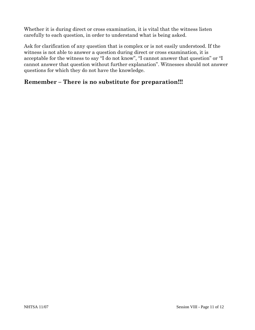Whether it is during direct or cross examination, it is vital that the witness listen carefully to each question, in order to understand what is being asked.

Ask for clarification of any question that is complex or is not easily understood. If the witness is not able to answer a question during direct or cross examination, it is acceptable for the witness to say "I do not know", "I cannot answer that question" or "I cannot answer that question without further explanation". Witnesses should not answer questions for which they do not have the knowledge.

# **Remember – There is no substitute for preparation!!!**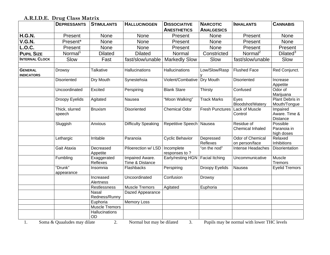#### **A.R.I.D.E. Drug Class Matrix**

|                                     | <b>DEPRESSANTS</b>       | <b>STIMULANTS</b>             | <b>HALLUCINOGEN</b>                | <b>DISSOCIATIVE</b>          | <b>NARCOTIC</b>        | <b>INHALANTS</b>                          | <b>CANNABIS</b>                              |
|-------------------------------------|--------------------------|-------------------------------|------------------------------------|------------------------------|------------------------|-------------------------------------------|----------------------------------------------|
|                                     |                          |                               |                                    | <b>ANESTHETICS</b>           | <b>ANALGESICS</b>      |                                           |                                              |
| <b>H.G.N.</b>                       | Present                  | None                          | None                               | Present                      | None                   | Present                                   | None                                         |
| <b>V.G.N.</b>                       | Present*                 | <b>None</b>                   | None                               | Present                      | None                   | Present                                   | None                                         |
| <b>L.O.C.</b>                       | Present                  | None                          | None                               | Present                      | None                   | Present                                   | Present                                      |
| <b>PUPIL SIZE</b>                   | Normal <sup>1</sup>      | <b>Dilated</b>                | <b>Dilated</b>                     | Normal                       | Constricted            | Normal <sup>2</sup>                       | Dilated <sup>3</sup>                         |
| <b>INTERNAL CLOCK</b>               | Slow                     | Fast                          | fast/slow/unable                   | <b>Markedly Slow</b>         | Slow                   | fast/slow/unable                          | Slow                                         |
|                                     |                          |                               |                                    |                              |                        |                                           |                                              |
| <b>GENERAL</b><br><b>INDICATORS</b> | <b>Drowsy</b>            | <b>Talkative</b>              | Hallucinations                     | Hallucinations               | Low/Slow/Rasp          | <b>Flushed Face</b>                       | Red Conjunct.                                |
|                                     | <b>Disoriented</b>       | Dry Mouth                     | Synestehsia                        | Violent/Combative            | Dry Mouth              | Disoriented                               | Increase<br>Appetite                         |
|                                     | Uncoordinated            | Excited                       | Perspiring                         | <b>Blank Stare</b>           | Thirsty                | Confused                                  | Odor of<br>Marijuana                         |
|                                     | <b>Droopy Eyelids</b>    | Agitated                      | Nausea                             | "Moon Walking"               | <b>Track Marks</b>     | Eyes<br>Bloodshot/Watery                  | Plant Debris in<br>Mouth/Tongue              |
|                                     | Thick, slurred<br>speech | <b>Bruxism</b>                | Disoriented                        | <b>Chemical Odor</b>         | <b>Fresh Punctures</b> | <b>Lack of Muscle</b><br>Control          | Impaired<br>Aware. Time &<br><b>Distance</b> |
|                                     | Sluggish                 | Anxious                       | <b>Difficulty Speaking</b>         | Repetitive Speech   Nausea   |                        | Residue of<br><b>Chemical Inhaled</b>     | Possible<br>Paranoia in<br>high doses        |
|                                     | Lethargic                | Irritable                     | Paranoia                           | <b>Cyclic Behavior</b>       | Depressed<br>Reflexes  | <b>Odor of Chemical</b><br>on person/face | Relaxed<br>Inhibitions                       |
|                                     | Gait Ataxia              | Decreased<br>Appetite         | Piloerection w/ LSD                | Incomplete<br>responses to ? | "on the nod"           | Intense Headaches                         | Disorientation                               |
|                                     | Fumbling                 | Exaggerated<br>Reflexes       | Impaired Aware.<br>Time & Distance | Early/resting HGN            | <b>Facial Itching</b>  | Uncommunicative                           | Muscle<br>Tremors                            |
|                                     | "Drunk"<br>appearance    | Insomnia                      | Flashbacks                         | Perspiring                   | <b>Droopy Eyelids</b>  | Nausea                                    | <b>Eyelid Tremors</b>                        |
|                                     |                          | Increased<br>Alertness        | Uncoordinated                      | Confusion                    | <b>Drowsy</b>          |                                           |                                              |
|                                     |                          | Restlessness                  | <b>Muscle Tremors</b>              | Agitated                     | Euphoria               |                                           |                                              |
|                                     |                          | <b>Nasal</b><br>Redness/Runny | Dazed Appearance                   |                              |                        |                                           |                                              |
|                                     |                          | Euphoria                      | <b>Memory Loss</b>                 |                              |                        |                                           |                                              |
|                                     |                          | <b>Muscle Tremors</b>         |                                    |                              |                        |                                           |                                              |
|                                     |                          | Hallucinations<br>OD          |                                    |                              |                        |                                           |                                              |

1. Soma & Quaaludes may dilate 2. Normal but may be dilated 3. Pupils may be normal with lower THC levels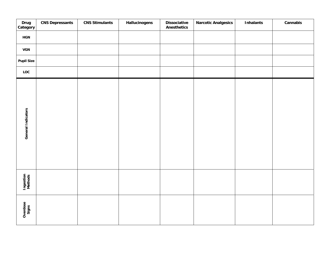| Drug<br>Category     | <b>CNS Depressants</b> | <b>CNS Stimulants</b> | Hallucinogens | <b>Dissociative</b><br><b>Anesthetics</b> | <b>Narcotic Analgesics</b> | <b>Inhalants</b> | Cannabis |
|----------------------|------------------------|-----------------------|---------------|-------------------------------------------|----------------------------|------------------|----------|
| <b>HGN</b>           |                        |                       |               |                                           |                            |                  |          |
| <b>VGN</b>           |                        |                       |               |                                           |                            |                  |          |
| <b>Pupil Size</b>    |                        |                       |               |                                           |                            |                  |          |
| LOC                  |                        |                       |               |                                           |                            |                  |          |
| General Indicators   |                        |                       |               |                                           |                            |                  |          |
| Ingestion<br>Methods |                        |                       |               |                                           |                            |                  |          |
| Overdose<br>Signs    |                        |                       |               |                                           |                            |                  |          |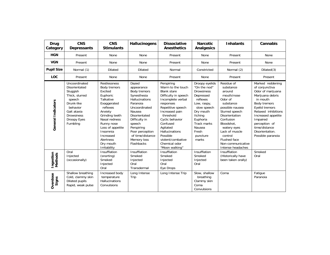| Drug<br>Category            | <b>CNS</b><br><b>Depressants</b>                                                                                                                                | <b>CNS</b><br><b>Stimulants</b>                                                                                                                                                                                                                       | Hallucinogens                                                                                                                                                                                                                                           | <b>Dissociative</b><br><b>Anesthetics</b>                                                                                                                                                                                                                                                                   | <b>Narcotic</b><br><b>Analgesics</b>                                                                                                                                                                         | <b>Inhalants</b>                                                                                                                                                                                                                                                | Cannabis                                                                                                                                                                                                                                                     |
|-----------------------------|-----------------------------------------------------------------------------------------------------------------------------------------------------------------|-------------------------------------------------------------------------------------------------------------------------------------------------------------------------------------------------------------------------------------------------------|---------------------------------------------------------------------------------------------------------------------------------------------------------------------------------------------------------------------------------------------------------|-------------------------------------------------------------------------------------------------------------------------------------------------------------------------------------------------------------------------------------------------------------------------------------------------------------|--------------------------------------------------------------------------------------------------------------------------------------------------------------------------------------------------------------|-----------------------------------------------------------------------------------------------------------------------------------------------------------------------------------------------------------------------------------------------------------------|--------------------------------------------------------------------------------------------------------------------------------------------------------------------------------------------------------------------------------------------------------------|
| <b>HGN</b>                  | Present                                                                                                                                                         | None                                                                                                                                                                                                                                                  | None                                                                                                                                                                                                                                                    | Present                                                                                                                                                                                                                                                                                                     | None                                                                                                                                                                                                         | Present                                                                                                                                                                                                                                                         | None                                                                                                                                                                                                                                                         |
| <b>VGN</b>                  | Present                                                                                                                                                         | None                                                                                                                                                                                                                                                  | <b>None</b>                                                                                                                                                                                                                                             | Present                                                                                                                                                                                                                                                                                                     | None                                                                                                                                                                                                         | Present                                                                                                                                                                                                                                                         | None                                                                                                                                                                                                                                                         |
| <b>Pupil Size</b>           | Normal (1)                                                                                                                                                      | <b>Dilated</b>                                                                                                                                                                                                                                        | <b>Dilated</b>                                                                                                                                                                                                                                          | Normal                                                                                                                                                                                                                                                                                                      | Constricted                                                                                                                                                                                                  | Normal (2)                                                                                                                                                                                                                                                      | Dilated(3)                                                                                                                                                                                                                                                   |
| <b>LOC</b>                  | Present                                                                                                                                                         | None                                                                                                                                                                                                                                                  | None                                                                                                                                                                                                                                                    | Present                                                                                                                                                                                                                                                                                                     | None                                                                                                                                                                                                         | Present                                                                                                                                                                                                                                                         | Present                                                                                                                                                                                                                                                      |
| General Indicators          | Uncoordinated<br>Disorientated<br>Sluggish<br>Thick, slurred<br>speech<br>Drunk-like<br>behavior<br>Gait ataxia<br><b>Drowsiness</b><br>Droopy Eyes<br>Fumbling | <b>Restlessness</b><br>Body tremors<br>Excited<br>Euphoric<br>Talkative<br>Exaggerated<br>reflexes<br>Anxiety<br>Grinding teeth<br>Nasal redness<br>Runny nose<br>Loss of appetite<br>Insomnia<br>Increased<br>Alertness<br>Dry mouth<br>Irritability | Dazed<br>appearance<br>Body tremors<br>Synesthesia<br><b>Hallucinations</b><br>Paranoia<br>Uncoordinated<br>Nausea<br>Disorientated<br>Difficulty in<br>speech<br>Perspiring<br>Poor perception<br>of time/distance<br>Memory loss<br><b>Flashbacks</b> | Perspiring<br>Warm to the touch<br><b>Blank stare</b><br>Difficulty in speech<br>Incomplete verbal<br>responses<br>Repetitive speech<br>Increased pain<br>threshold<br>Cyclic behavior<br>Confused<br>Agitated<br><b>Hallucinations</b><br>Possible<br>violent/combative<br>Chemical odor<br>"Moon walking" | Droopy eyelids<br>"On the nod"<br><b>Drowsiness</b><br>Depressed<br>reflexes<br>Low, raspy,<br>slow speech<br>Dry mouth<br>Itching<br>Euphoria<br><b>Track marks</b><br>Nausea<br>Fresh<br>puncture<br>marks | Residue of<br>substance<br>around<br>mouth/nose<br>Odor of<br>substance<br>possible nausea<br>Slurred speech<br>Disorientation<br>Confusion<br>Bloodshot.<br>watery eyes<br>Lack of muscle<br>control<br>Flushed face<br>Non-communicative<br>Intense headaches | Marked reddening<br>of conjunctiva<br>Odor of marijuana<br>Marijuana debris<br>in mouth<br>Body tremors<br>Eyelid tremors<br>Relaxed inhibitions<br>Increased appetite<br>Impaired<br>perception of<br>time/distance<br>Disorientation.<br>Possible paranoia |
| Ingestion<br><b>Methods</b> | Oral<br>Injected<br>(occasionally)                                                                                                                              | Insufflation<br>(snorting)<br>Smoked<br>Injected<br>Oral                                                                                                                                                                                              | Insufflation<br>Smoked<br>Injected<br>Oral<br>Transdermal                                                                                                                                                                                               | Insufflation<br>Smoked<br>Injected<br>Oral<br>Eye Drops                                                                                                                                                                                                                                                     | Insufflation<br>Smoked<br>Injected<br>Oral                                                                                                                                                                   | Insufflation<br>(Historically have<br>been taken orally)                                                                                                                                                                                                        | Smoked<br>Oral                                                                                                                                                                                                                                               |
| Overdose<br>Signs           | Shallow breathing<br>Cold, clammy skin<br>Dilated pupils<br>Rapid, weak pulse                                                                                   | Increased body<br>temperature<br>Hallucinations<br>Convulsions                                                                                                                                                                                        | Long Intense<br>Trip                                                                                                                                                                                                                                    | Long Intense Trip                                                                                                                                                                                                                                                                                           | Slow, shallow<br>breathing<br>Clammy skin<br>Coma<br>Convulsions                                                                                                                                             | Coma                                                                                                                                                                                                                                                            | Fatigue<br>Paranoia                                                                                                                                                                                                                                          |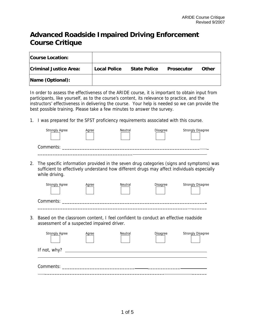# **Advanced Roadside Impaired Driving Enforcement Course Critique**

| <b>Course Location:</b>       |                     |                     |                   |       |
|-------------------------------|---------------------|---------------------|-------------------|-------|
| <b>Criminal Justice Area:</b> | <b>Local Police</b> | <b>State Police</b> | <b>Prosecutor</b> | Other |
| Name (Optional):              |                     |                     |                   |       |

In order to assess the effectiveness of the ARIDE course, it is important to obtain input from participants, like yourself, as to the course's content, its relevance to practice, and the instructors' effectiveness in delivering the course. Your help is needed so we can provide the best possible training. Please take a few minutes to answer the survey.

1. I was prepared for the SFST proficiency requirements associated with this course.

| <b>Strongly Agree</b> | Agree | Neutral | Disagree | Strongly Disagree |
|-----------------------|-------|---------|----------|-------------------|
| Comments:             |       |         |          |                   |

2. The specific information provided in the seven drug categories (signs and symptoms) was sufficient to effectively understand how different drugs may affect individuals especially while driving.

| <b>Strongly Agree</b> | Agree | Neutral | <b>Disagree</b> | <b>Strongly Disagree</b> |
|-----------------------|-------|---------|-----------------|--------------------------|
| Comments:             |       |         |                 |                          |

3. Based on the classroom content, I feel confident to conduct an effective roadside assessment of a suspected impaired driver.

| <b>Strongly Agree</b>                                                                                                                                                                                                                                    | Agree | Neutral | <b>Disagree</b> | <b>Strongly Disagree</b> |
|----------------------------------------------------------------------------------------------------------------------------------------------------------------------------------------------------------------------------------------------------------|-------|---------|-----------------|--------------------------|
| If not, why? $\frac{1}{2}$ meson is the same set of $\frac{1}{2}$ meson is the set of $\frac{1}{2}$ meson is the set of $\frac{1}{2}$ meson is the set of $\frac{1}{2}$ meson is the set of $\frac{1}{2}$ meson is the set of $\frac{1}{2}$ meson is the |       |         |                 |                          |
| Comments: New York School School School School School School School School School School School School School                                                                                                                                            |       |         |                 |                          |
|                                                                                                                                                                                                                                                          |       |         |                 |                          |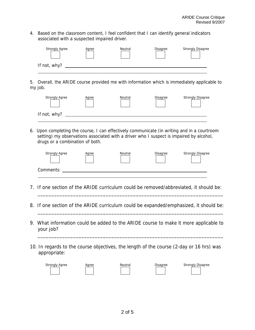4. Based on the classroom content, I feel confident that I can identify general indicators associated with a suspected impaired driver.

| <b>Strongly Agree</b> | Agree | Neutral | Disagree | Strongly Disagree |
|-----------------------|-------|---------|----------|-------------------|
| If not, why?          |       |         |          |                   |

5. Overall, the ARIDE course provided me with information which is immediately applicable to my job.

| <b>Strongly Agree</b> | Agree | Neutral | Disagree | Strongly Disagree |
|-----------------------|-------|---------|----------|-------------------|
| If not, why?          |       |         |          |                   |

6. Upon completing the course, I can effectively communicate (in writing and in a courtroom setting) my observations associated with a driver who I suspect is impaired by alcohol, drugs or a combination of both.

| <b>Strongly Agree</b> | Agree | Neutral | Disagree | <b>Strongly Disagree</b> |
|-----------------------|-------|---------|----------|--------------------------|
| Comments:             |       |         |          |                          |

- 7. If one section of the ARIDE curriculum could be removed/abbreviated, it should be:  $\overline{\phantom{a}}$  , and the contribution of the contribution of the contribution of the contribution of the contribution of the contribution of the contribution of the contribution of the contribution of the contribution of the
- 8. If one section of the ARIDE curriculum could be expanded/emphasized, it should be:  $\overline{\phantom{a}}$  , and the contribution of the contribution of the contribution of the contribution of the contribution of the contribution of the contribution of the contribution of the contribution of the contribution of the
- 9. What information could be added to the ARIDE course to make it more applicable to your job?

 $\overline{\phantom{a}}$  , and the contribution of the contribution of the contribution of the contribution of the contribution of the contribution of the contribution of the contribution of the contribution of the contribution of the

10. In regards to the course objectives, the length of the course (2-day or 16 hrs) was appropriate:

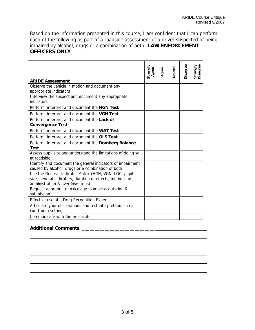Based on the information presented in this course, I am confident that I can perform each of the following as part of a roadside assessment of a driver suspected of being impaired by alcohol, drugs or a combination of both: **LAW ENFORCEMENT OFFICERS ONLY**

| <b>ARIDE Assessment</b>                                                                                                                                 | Strongly<br>Agree | Agree | Neutral | Disagree | Strongly<br>Disagree |
|---------------------------------------------------------------------------------------------------------------------------------------------------------|-------------------|-------|---------|----------|----------------------|
| Observe the vehicle in motion and document any<br>appropriate indicators                                                                                |                   |       |         |          |                      |
| Interview the suspect and document any appropriate<br>indicators                                                                                        |                   |       |         |          |                      |
| Perform, interpret and document the HGN Test                                                                                                            |                   |       |         |          |                      |
| Perform, interpret and document the VGN Test                                                                                                            |                   |       |         |          |                      |
| Perform, interpret and document the Lack of<br><b>Convergence Test</b>                                                                                  |                   |       |         |          |                      |
| Perform, interpret and document the WAT Test                                                                                                            |                   |       |         |          |                      |
| Perform, interpret and document the OLS Test                                                                                                            |                   |       |         |          |                      |
| Perform, interpret and document the Romberg Balance<br><b>Test</b>                                                                                      |                   |       |         |          |                      |
| Assess pupil size and understand the limitations of doing so<br>at roadside                                                                             |                   |       |         |          |                      |
| Identify and document the general indicators of impairment<br>caused by alcohol, drugs or a combination of both                                         |                   |       |         |          |                      |
| Use the General Indicator Matrix (HGN, VGN, LOC, pupil<br>size, general indicators, duration of effects, methods of<br>administration & overdose signs) |                   |       |         |          |                      |
| Request appropriate toxicology (sample acquisition &<br>submission)                                                                                     |                   |       |         |          |                      |
| Effective use of a Drug Recognition Expert                                                                                                              |                   |       |         |          |                      |
| Articulate your observations and test interpretations in a<br>courtroom setting                                                                         |                   |       |         |          |                      |
| Communicate with the prosecutor                                                                                                                         |                   |       |         |          |                      |

#### **Additional Comments**: \_\_\_\_\_\_\_\_\_\_\_\_\_\_\_\_\_\_\_\_\_\_\_\_\_\_\_\_\_\_

l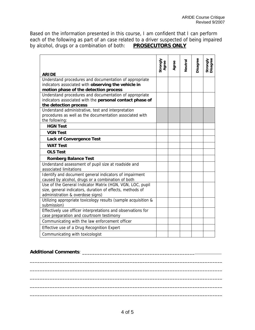Based on the information presented in this course, I am confident that I can perform each of the following as part of an case related to a driver suspected of being impaired by alcohol, drugs or a combination of both: **PROSECUTORS ONLY**

|                                                                                                                    | Strongly<br>Agree | Agree | Veutral | Disagree | Strongly<br>Disagree |
|--------------------------------------------------------------------------------------------------------------------|-------------------|-------|---------|----------|----------------------|
| <b>ARIDE</b>                                                                                                       |                   |       |         |          |                      |
| Understand procedures and documentation of appropriate                                                             |                   |       |         |          |                      |
| indicators associated with observing the vehicle in                                                                |                   |       |         |          |                      |
| motion phase of the detection process                                                                              |                   |       |         |          |                      |
| Understand procedures and documentation of appropriate<br>indicators associated with the personal contact phase of |                   |       |         |          |                      |
| the detection process                                                                                              |                   |       |         |          |                      |
| Understand administrative, test and interpretation                                                                 |                   |       |         |          |                      |
| procedures as well as the documentation associated with                                                            |                   |       |         |          |                      |
| the following:                                                                                                     |                   |       |         |          |                      |
| <b>HGN Test</b>                                                                                                    |                   |       |         |          |                      |
| <b>VGN Test</b>                                                                                                    |                   |       |         |          |                      |
| <b>Lack of Convergence Test</b>                                                                                    |                   |       |         |          |                      |
| <b>WAT Test</b>                                                                                                    |                   |       |         |          |                      |
| <b>OLS Test</b>                                                                                                    |                   |       |         |          |                      |
| <b>Romberg Balance Test</b>                                                                                        |                   |       |         |          |                      |
| Understand assessment of pupil size at roadside and                                                                |                   |       |         |          |                      |
| associated limitations                                                                                             |                   |       |         |          |                      |
| Identify and document general indicators of impairment                                                             |                   |       |         |          |                      |
| caused by alcohol, drugs or a combination of both                                                                  |                   |       |         |          |                      |
| Use of the General Indicator Matrix (HGN, VGN, LOC, pupil                                                          |                   |       |         |          |                      |
| size, general indicators, duration of effects, methods of                                                          |                   |       |         |          |                      |
| administration & overdose signs)                                                                                   |                   |       |         |          |                      |
| Utilizing appropriate toxicology results (sample acquisition &                                                     |                   |       |         |          |                      |
| submission)                                                                                                        |                   |       |         |          |                      |
| Effectively use officer interpretations and observations for                                                       |                   |       |         |          |                      |
| case preparation and courtroom testimony                                                                           |                   |       |         |          |                      |
| Communicating with the law enforcement officer                                                                     |                   |       |         |          |                      |
| Effective use of a Drug Recognition Expert                                                                         |                   |       |         |          |                      |
| Communicating with toxicologist                                                                                    |                   |       |         |          |                      |

### **Additional Comments**: \_\_\_\_\_\_\_\_\_\_\_\_\_\_\_\_\_\_\_\_\_\_\_\_\_\_\_\_\_\_\_\_\_\_\_\_\_\_\_\_\_\_\_\_\_

\_\_\_\_\_\_\_\_\_\_\_\_\_\_\_\_\_\_\_\_\_\_\_\_\_\_\_\_\_\_\_\_\_\_\_\_\_\_\_\_\_\_\_\_\_\_\_\_\_\_\_\_\_\_\_\_\_\_\_\_\_\_\_\_\_\_\_\_\_\_\_\_\_\_\_\_\_ \_\_\_\_\_\_\_\_\_\_\_\_\_\_\_\_\_\_\_\_\_\_\_\_\_\_\_\_\_\_\_\_\_\_\_\_\_\_\_\_\_\_\_\_\_\_\_\_\_\_\_\_\_\_\_\_\_\_\_\_\_\_\_\_\_\_\_\_\_\_\_\_\_\_\_\_\_ \_\_\_\_\_\_\_\_\_\_\_\_\_\_\_\_\_\_\_\_\_\_\_\_\_\_\_\_\_\_\_\_\_\_\_\_\_\_\_\_\_\_\_\_\_\_\_\_\_\_\_\_\_\_\_\_\_\_\_\_\_\_\_\_\_\_\_\_\_\_\_\_\_\_\_\_\_ \_\_\_\_\_\_\_\_\_\_\_\_\_\_\_\_\_\_\_\_\_\_\_\_\_\_\_\_\_\_\_\_\_\_\_\_\_\_\_\_\_\_\_\_\_\_\_\_\_\_\_\_\_\_\_\_\_\_\_\_\_\_\_\_\_\_\_\_\_\_\_\_\_\_\_\_\_ \_\_\_\_\_\_\_\_\_\_\_\_\_\_\_\_\_\_\_\_\_\_\_\_\_\_\_\_\_\_\_\_\_\_\_\_\_\_\_\_\_\_\_\_\_\_\_\_\_\_\_\_\_\_\_\_\_\_\_\_\_\_\_\_\_\_\_\_\_\_\_\_\_\_\_\_\_